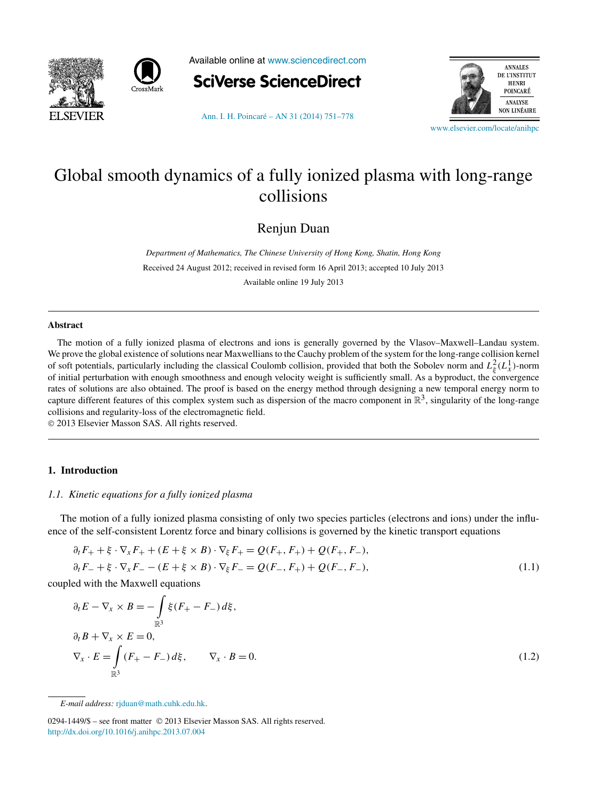<span id="page-0-0"></span>



Available online at [www.sciencedirect.com](http://www.sciencedirect.com)



[Ann. I. H. Poincaré – AN 31 \(2014\) 751–778](http://dx.doi.org/10.1016/j.anihpc.2013.07.004)



[www.elsevier.com/locate/anihpc](http://www.elsevier.com/locate/anihpc)

# Global smooth dynamics of a fully ionized plasma with long-range collisions

Renjun Duan

*Department of Mathematics, The Chinese University of Hong Kong, Shatin, Hong Kong* Received 24 August 2012; received in revised form 16 April 2013; accepted 10 July 2013 Available online 19 July 2013

#### **Abstract**

The motion of a fully ionized plasma of electrons and ions is generally governed by the Vlasov–Maxwell–Landau system. We prove the global existence of solutions near Maxwellians to the Cauchy problem of the system for the long-range collision kernel of soft potentials, particularly including the classical Coulomb collision, provided that both the Sobolev norm and  $L^2_{\xi}(L^1_x)$ -norm of initial perturbation with enough smoothness and enough velocity weight is sufficiently small. As a byproduct, the convergence rates of solutions are also obtained. The proof is based on the energy method through designing a new temporal energy norm to capture different features of this complex system such as dispersion of the macro component in  $\mathbb{R}^3$ , singularity of the long-range collisions and regularity-loss of the electromagnetic field.

© 2013 Elsevier Masson SAS. All rights reserved.

# **1. Introduction**

### *1.1. Kinetic equations for a fully ionized plasma*

The motion of a fully ionized plasma consisting of only two species particles (electrons and ions) under the influence of the self-consistent Lorentz force and binary collisions is governed by the kinetic transport equations

$$
\partial_t F_+ + \xi \cdot \nabla_x F_+ + (E + \xi \times B) \cdot \nabla_{\xi} F_+ = Q(F_+, F_+) + Q(F_+, F_-),
$$
  
\n
$$
\partial_t F_- + \xi \cdot \nabla_x F_- - (E + \xi \times B) \cdot \nabla_{\xi} F_- = Q(F_-, F_+) + Q(F_-, F_-),
$$
\n(1.1)

coupled with the Maxwell equations

$$
\partial_t E - \nabla_x \times B = -\int_{\mathbb{R}^3} \xi (F_+ - F_-) d\xi,
$$
  
\n
$$
\partial_t B + \nabla_x \times E = 0,
$$
  
\n
$$
\nabla_x \cdot E = \int_{\mathbb{R}^3} (F_+ - F_-) d\xi, \qquad \nabla_x \cdot B = 0.
$$
\n(1.2)

*E-mail address:* [rjduan@math.cuhk.edu.hk](mailto:rjduan@math.cuhk.edu.hk).

0294-1449/\$ – see front matter © 2013 Elsevier Masson SAS. All rights reserved. <http://dx.doi.org/10.1016/j.anihpc.2013.07.004>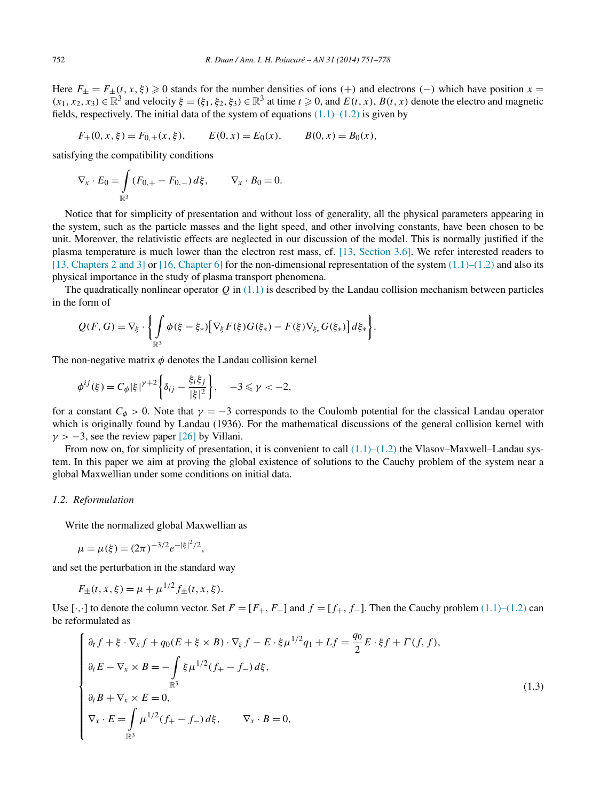<span id="page-1-0"></span>Here  $F_{\pm} = F_{\pm}(t, x, \xi) \ge 0$  stands for the number densities of ions (+) and electrons (-) which have position  $x =$  $(x_1, x_2, x_3) \in \mathbb{R}^3$  and velocity  $\xi = (\xi_1, \xi_2, \xi_3) \in \mathbb{R}^3$  at time  $t \ge 0$ , and  $E(t, x)$ ,  $B(t, x)$  denote the electro and magnetic fields, respectively. The initial data of the system of equations  $(1.1)$ – $(1.2)$  is given by

$$
F_{\pm}(0, x, \xi) = F_{0,\pm}(x, \xi),
$$
  $E(0, x) = E_0(x),$   $B(0, x) = B_0(x),$ 

satisfying the compatibility conditions

$$
\nabla_x \cdot E_0 = \int_{\mathbb{R}^3} (F_{0,+} - F_{0,-}) d\xi, \qquad \nabla_x \cdot B_0 = 0.
$$

Notice that for simplicity of presentation and without loss of generality, all the physical parameters appearing in the system, such as the particle masses and the light speed, and other involving constants, have been chosen to be unit. Moreover, the relativistic effects are neglected in our discussion of the model. This is normally justified if the plasma temperature is much lower than the electron rest mass, cf. [\[13, Section 3.6\].](#page-26-0) We refer interested readers to [\[13, Chapters 2 and 3\]](#page-26-0) or [\[16, Chapter 6\]](#page-26-0) for the non-dimensional representation of the system  $(1.1)$ – $(1.2)$  and also its physical importance in the study of plasma transport phenomena.

The quadratically nonlinear operator  $Q$  in  $(1.1)$  is described by the Landau collision mechanism between particles in the form of

$$
Q(F,G) = \nabla_{\xi} \cdot \left\{ \int_{\mathbb{R}^3} \phi(\xi - \xi_*) \left[ \nabla_{\xi} F(\xi) G(\xi_*) - F(\xi) \nabla_{\xi_*} G(\xi_*) \right] d\xi_* \right\}.
$$

The non-negative matrix *φ* denotes the Landau collision kernel

$$
\phi^{ij}(\xi) = C_{\phi} |\xi|^{\gamma+2} \left\{ \delta_{ij} - \frac{\xi_i \xi_j}{|\xi|^2} \right\}, \quad -3 \leq \gamma < -2,
$$

for a constant  $C_{\phi} > 0$ . Note that  $\gamma = -3$  corresponds to the Coulomb potential for the classical Landau operator which is originally found by Landau (1936). For the mathematical discussions of the general collision kernel with  $\gamma$  > −3, see the review paper [\[26\]](#page-27-0) by Villani.

From now on, for simplicity of presentation, it is convenient to call  $(1.1)$ – $(1.2)$  the Vlasov–Maxwell–Landau system. In this paper we aim at proving the global existence of solutions to the Cauchy problem of the system near a global Maxwellian under some conditions on initial data.

# *1.2. Reformulation*

Write the normalized global Maxwellian as

$$
\mu = \mu(\xi) = (2\pi)^{-3/2} e^{-|\xi|^2/2},
$$

and set the perturbation in the standard way

$$
F_{\pm}(t, x, \xi) = \mu + \mu^{1/2} f_{\pm}(t, x, \xi).
$$

Use  $[\cdot, \cdot]$  to denote the column vector. Set  $F = [F_+, F_-]$  and  $f = [f_+, f_-]$ . Then the Cauchy problem [\(1.1\)–\(1.2\)](#page-0-0) can be reformulated as

$$
\begin{cases}\n\partial_t f + \xi \cdot \nabla_x f + q_0 (E + \xi \times B) \cdot \nabla_{\xi} f - E \cdot \xi \mu^{1/2} q_1 + Lf = \frac{q_0}{2} E \cdot \xi f + \Gamma(f, f), \\
\partial_t E - \nabla_x \times B = -\int_{\mathbb{R}^3} \xi \mu^{1/2} (f_+ - f_-) d\xi, \\
\partial_t B + \nabla_x \times E = 0, \\
\nabla_x \cdot E = \int_{\mathbb{R}^3} \mu^{1/2} (f_+ - f_-) d\xi, \qquad \nabla_x \cdot B = 0,\n\end{cases}
$$
\n(1.3)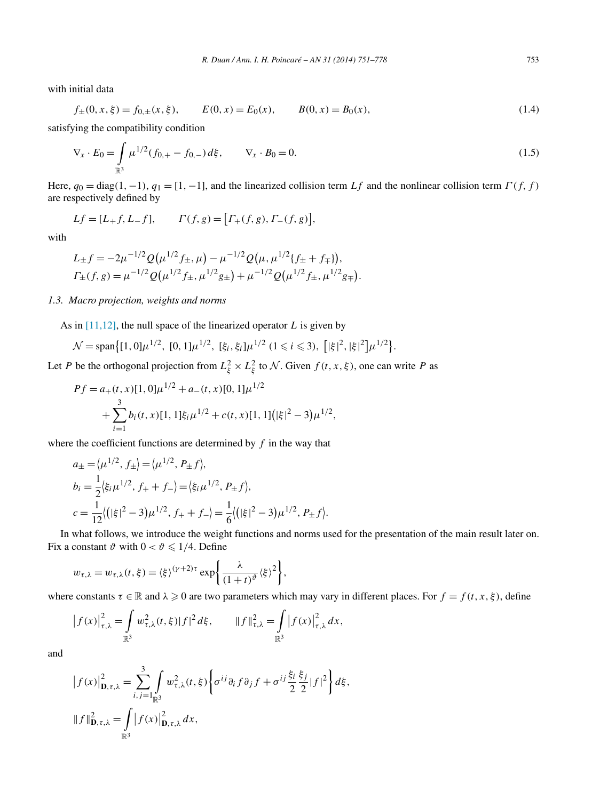<span id="page-2-0"></span>with initial data

$$
f_{\pm}(0, x, \xi) = f_{0,\pm}(x, \xi), \qquad E(0, x) = E_0(x), \qquad B(0, x) = B_0(x), \tag{1.4}
$$

satisfying the compatibility condition

$$
\nabla_x \cdot E_0 = \int_{\mathbb{R}^3} \mu^{1/2} (f_{0,+} - f_{0,-}) d\xi, \qquad \nabla_x \cdot B_0 = 0.
$$
\n(1.5)

Here,  $q_0 = \text{diag}(1, -1)$ ,  $q_1 = [1, -1]$ , and the linearized collision term *Lf* and the nonlinear collision term  $\Gamma(f, f)$ are respectively defined by

$$
Lf = [L+f, L-f],
$$
  $\Gamma(f, g) = [\Gamma_+(f, g), \Gamma_-(f, g)],$ 

with

$$
L_{\pm}f = -2\mu^{-1/2} Q(\mu^{1/2} f_{\pm}, \mu) - \mu^{-1/2} Q(\mu, \mu^{1/2} \{f_{\pm} + f_{\mp}\}),
$$
  

$$
\Gamma_{\pm}(f, g) = \mu^{-1/2} Q(\mu^{1/2} f_{\pm}, \mu^{1/2} g_{\pm}) + \mu^{-1/2} Q(\mu^{1/2} f_{\pm}, \mu^{1/2} g_{\mp}).
$$

#### *1.3. Macro projection, weights and norms*

As in [\[11,12\],](#page-26-0) the null space of the linearized operator *L* is given by

$$
\mathcal{N} = \text{span}\big\{ [1,0]\mu^{1/2}, [0,1]\mu^{1/2}, [\xi_i,\xi_i]\mu^{1/2} (1 \leq i \leq 3), [|\xi|^2, |\xi|^2]\mu^{1/2} \big\}.
$$

Let *P* be the orthogonal projection from  $L^2_\xi \times L^2_\xi$  to N. Given  $f(t, x, \xi)$ , one can write *P* as

$$
Pf = a_{+}(t, x)[1, 0]\mu^{1/2} + a_{-}(t, x)[0, 1]\mu^{1/2} + \sum_{i=1}^{3} b_{i}(t, x)[1, 1]\xi_{i}\mu^{1/2} + c(t, x)[1, 1](|\xi|^{2} - 3)\mu^{1/2},
$$

where the coefficient functions are determined by *f* in the way that

$$
a_{\pm} = \langle \mu^{1/2}, f_{\pm} \rangle = \langle \mu^{1/2}, P_{\pm} f \rangle,
$$
  
\n
$$
b_i = \frac{1}{2} \langle \xi_i \mu^{1/2}, f_+ + f_- \rangle = \langle \xi_i \mu^{1/2}, P_{\pm} f \rangle,
$$
  
\n
$$
c = \frac{1}{12} \langle (|\xi|^2 - 3) \mu^{1/2}, f_+ + f_- \rangle = \frac{1}{6} \langle (|\xi|^2 - 3) \mu^{1/2}, P_{\pm} f \rangle.
$$

In what follows, we introduce the weight functions and norms used for the presentation of the main result later on. Fix a constant  $\vartheta$  with  $0 < \vartheta \le 1/4$ . Define

$$
w_{\tau,\lambda} = w_{\tau,\lambda}(t,\xi) = \langle \xi \rangle^{(\gamma+2)\tau} \exp\left\{ \frac{\lambda}{(1+t)^{\vartheta}} \langle \xi \rangle^2 \right\},\,
$$

where constants  $\tau \in \mathbb{R}$  and  $\lambda \geq 0$  are two parameters which may vary in different places. For  $f = f(t, x, \xi)$ , define

$$
\left|f(x)\right|_{\tau,\lambda}^{2} = \int_{\mathbb{R}^{3}} w_{\tau,\lambda}^{2}(t,\xi) |f|^{2} d\xi, \qquad \|f\|_{\tau,\lambda}^{2} = \int_{\mathbb{R}^{3}} \left|f(x)\right|_{\tau,\lambda}^{2} d\xi,
$$

and

$$
\begin{aligned} \left| f(x) \right|_{\mathbf{D}, \tau, \lambda}^{2} &= \sum_{i,j=1}^{3} \int_{\mathbb{R}^{3}} w_{\tau, \lambda}^{2}(t, \xi) \left\{ \sigma^{ij} \partial_{i} f \partial_{j} f + \sigma^{ij} \frac{\xi_{i}}{2} \frac{\xi_{j}}{2} |f|^{2} \right\} d\xi, \\ \|f\|_{\mathbf{D}, \tau, \lambda}^{2} &= \int_{\mathbb{R}^{3}} \left| f(x) \right|_{\mathbf{D}, \tau, \lambda}^{2} dx, \end{aligned}
$$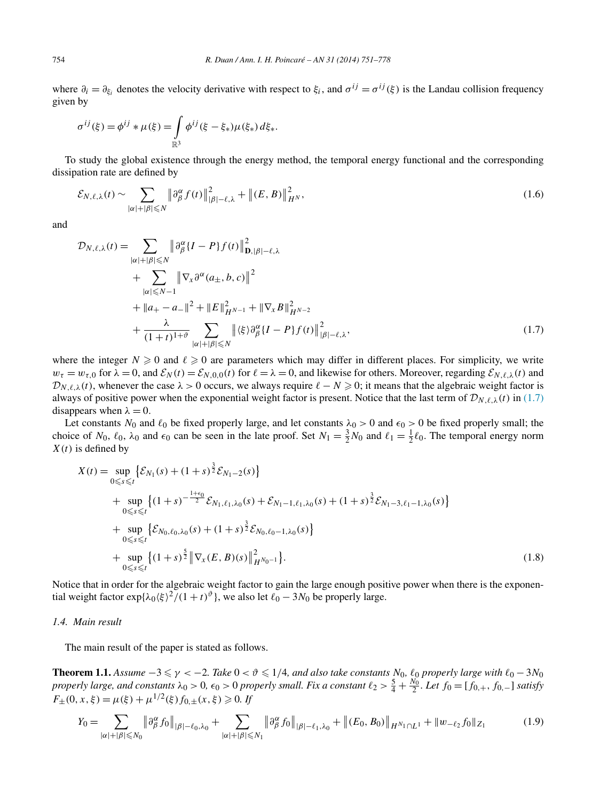<span id="page-3-0"></span>where  $\partial_i = \partial_{\xi_i}$  denotes the velocity derivative with respect to  $\xi_i$ , and  $\sigma^{ij} = \sigma^{ij}(\xi)$  is the Landau collision frequency given by

$$
\sigma^{ij}(\xi) = \phi^{ij} * \mu(\xi) = \int_{\mathbb{R}^3} \phi^{ij}(\xi - \xi_*) \mu(\xi_*) d\xi_*.
$$

To study the global existence through the energy method, the temporal energy functional and the corresponding dissipation rate are defined by

$$
\mathcal{E}_{N,\ell,\lambda}(t) \sim \sum_{|\alpha|+|\beta| \leqslant N} \left\| \partial_{\beta}^{\alpha} f(t) \right\|_{|\beta|-\ell,\lambda}^{2} + \left\| (E,B) \right\|_{H^{N}}^{2},\tag{1.6}
$$

and

$$
\mathcal{D}_{N,\ell,\lambda}(t) = \sum_{|\alpha|+|\beta| \leq N} \left\| \partial_{\beta}^{\alpha} \{I-P\} f(t) \right\|_{\mathbf{D},|\beta|-\ell,\lambda}^{2} \n+ \sum_{|\alpha| \leq N-1} \left\| \nabla_{\chi} \partial^{\alpha} (a_{\pm}, b, c) \right\|^{2} \n+ \left\| a_{+} - a_{-} \right\|^{2} + \left\| E \right\|_{H^{N-1}}^{2} + \left\| \nabla_{\chi} B \right\|_{H^{N-2}}^{2} \n+ \frac{\lambda}{(1+t)^{1+\vartheta}} \sum_{|\alpha|+|\beta| \leq N} \left\| \langle \xi \rangle \partial_{\beta}^{\alpha} \{I-P\} f(t) \right\|_{|\beta|-\ell,\lambda}^{2}, \tag{1.7}
$$

where the integer  $N \geq 0$  and  $\ell \geq 0$  are parameters which may differ in different places. For simplicity, we write  $w_t = w_{\tau,0}$  for  $\lambda = 0$ , and  $\mathcal{E}_N(t) = \mathcal{E}_{N,0,0}(t)$  for  $\ell = \lambda = 0$ , and likewise for others. Moreover, regarding  $\mathcal{E}_{N,\ell,\lambda}(t)$  and  $\mathcal{D}_{N,\ell,\lambda}(t)$ , whenever the case  $\lambda > 0$  occurs, we always require  $\ell - N \ge 0$ ; it means that the algebraic weight factor is always of positive power when the exponential weight factor is present. Notice that the last term of  $\mathcal{D}_{N,\ell,\lambda}(t)$  in (1.7) disappears when  $\lambda = 0$ .

Let constants  $N_0$  and  $\ell_0$  be fixed properly large, and let constants  $\lambda_0 > 0$  and  $\epsilon_0 > 0$  be fixed properly small; the choice of  $N_0$ ,  $\ell_0$ ,  $\lambda_0$  and  $\epsilon_0$  can be seen in the late proof. Set  $N_1 = \frac{3}{2}N_0$  and  $\ell_1 = \frac{1}{2}\ell_0$ . The temporal energy norm *X(t)* is defined by

$$
X(t) = \sup_{0 \le s \le t} \{ \mathcal{E}_{N_1}(s) + (1+s)^{\frac{3}{2}} \mathcal{E}_{N_1-2}(s) \}
$$
  
+ 
$$
\sup_{0 \le s \le t} \{ (1+s)^{-\frac{1+\epsilon_0}{2}} \mathcal{E}_{N_1,\ell_1,\lambda_0}(s) + \mathcal{E}_{N_1-1,\ell_1,\lambda_0}(s) + (1+s)^{\frac{3}{2}} \mathcal{E}_{N_1-3,\ell_1-1,\lambda_0}(s) \}
$$
  
+ 
$$
\sup_{0 \le s \le t} \{ \mathcal{E}_{N_0,\ell_0,\lambda_0}(s) + (1+s)^{\frac{3}{2}} \mathcal{E}_{N_0,\ell_0-1,\lambda_0}(s) \}
$$
  
+ 
$$
\sup_{0 \le s \le t} \{ (1+s)^{\frac{5}{2}} \|\nabla_x (E, B)(s)\|_{H^{N_0-1}}^2 \}.
$$
 (1.8)

Notice that in order for the algebraic weight factor to gain the large enough positive power when there is the exponential weight factor  $\exp{\lambda_0 \langle \xi \rangle^2 / (1 + t)^{\vartheta}}$ , we also let  $\ell_0 - 3N_0$  be properly large.

### *1.4. Main result*

The main result of the paper is stated as follows.

**Theorem 1.1.** Assume  $-3 \le \gamma < -2$ . Take  $0 < \vartheta \le 1/4$ , and also take constants  $N_0$ ,  $\ell_0$  properly large with  $\ell_0 - 3N_0$ properly large, and constants  $\lambda_0 > 0$ ,  $\epsilon_0 > 0$  properly small. Fix a constant  $\ell_2 > \frac{5}{4} + \frac{N_0}{2}$ . Let  $f_0 = [f_{0,+}, f_{0,-}]$  satisfy  $F_{\pm}(0, x, \xi) = \mu(\xi) + \mu^{1/2}(\xi) f_{0,\pm}(x, \xi) \geq 0$ . If

$$
Y_0 = \sum_{|\alpha|+|\beta| \leq N_0} \left\| \partial^{\alpha}_{\beta} f_0 \right\|_{|\beta|-\ell_0,\lambda_0} + \sum_{|\alpha|+|\beta| \leq N_1} \left\| \partial^{\alpha}_{\beta} f_0 \right\|_{|\beta|-\ell_1,\lambda_0} + \left\| (E_0, B_0) \right\|_{H^{N_1} \cap L^1} + \left\| w_{-\ell_2} f_0 \right\|_{Z_1}
$$
(1.9)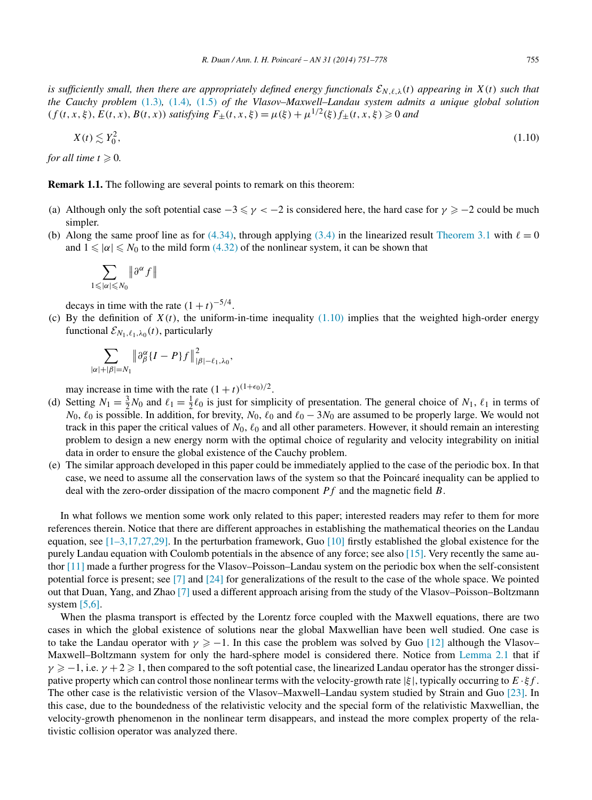<span id="page-4-0"></span>*is sufficiently small, then there are appropriately defined energy functionals*  $\mathcal{E}_{N,\ell,\lambda}(t)$  *appearing in*  $X(t)$  *such that the Cauchy problem* [\(1.3\)](#page-1-0)*,* [\(1.4\)](#page-2-0)*,* [\(1.5\)](#page-2-0) *of the Vlasov–Maxwell–Landau system admits a unique global solution*  $(f(t, x, \xi), E(t, x), B(t, x))$  *satisfying*  $F_{\pm}(t, x, \xi) = \mu(\xi) + \mu^{1/2}(\xi) f_{\pm}(t, x, \xi) \ge 0$  *and* 

$$
X(t) \lesssim Y_0^2,\tag{1.10}
$$

for all time  $t \geqslant 0$ .

**Remark 1.1.** The following are several points to remark on this theorem:

- (a) Although only the soft potential case  $-3 \le \gamma < -2$  is considered here, the hard case for  $\gamma \ge -2$  could be much simpler.
- (b) Along the same proof line as for  $(4.34)$ , through applying  $(3.4)$  in the linearized result [Theorem 3.1](#page-8-0) with  $\ell = 0$ and  $1 \leq \alpha \leq N_0$  to the mild form [\(4.32\)](#page-20-0) of the nonlinear system, it can be shown that

$$
\sum_{1\leqslant|\alpha|\leqslant N_0}\big\|\hspace{1pt}\partial^\alpha f\,\big\|
$$

decays in time with the rate  $(1 + t)^{-5/4}$ .

(c) By the definition of  $X(t)$ , the uniform-in-time inequality  $(1.10)$  implies that the weighted high-order energy functional  $\mathcal{E}_{N_1,\ell_1,\lambda_0}(t)$ , particularly

$$
\sum_{|\alpha|+|\beta|=N_1} \left\| \partial_{\beta}^{\alpha} \{I-P\} f \right\|_{|\beta|-\ell_1,\lambda_0}^2,
$$

may increase in time with the rate  $(1 + t)^{(1+\epsilon_0)/2}$ .

- (d) Setting  $N_1 = \frac{3}{2}N_0$  and  $\ell_1 = \frac{1}{2}\ell_0$  is just for simplicity of presentation. The general choice of  $N_1$ ,  $\ell_1$  in terms of *N*<sub>0</sub>,  $\ell_0$  is possible. In addition, for brevity, *N*<sub>0</sub>,  $\ell_0$  and  $\ell_0 - 3N_0$  are assumed to be properly large. We would not track in this paper the critical values of  $N_0$ ,  $\ell_0$  and all other parameters. However, it should remain an interesting problem to design a new energy norm with the optimal choice of regularity and velocity integrability on initial data in order to ensure the global existence of the Cauchy problem.
- (e) The similar approach developed in this paper could be immediately applied to the case of the periodic box. In that case, we need to assume all the conservation laws of the system so that the Poincaré inequality can be applied to deal with the zero-order dissipation of the macro component *Pf* and the magnetic field *B*.

In what follows we mention some work only related to this paper; interested readers may refer to them for more references therein. Notice that there are different approaches in establishing the mathematical theories on the Landau equation, see  $[1-3,17,27,29]$ . In the perturbation framework, Guo  $[10]$  firstly established the global existence for the purely Landau equation with Coulomb potentials in the absence of any force; see also [\[15\].](#page-26-0) Very recently the same author [\[11\]](#page-26-0) made a further progress for the Vlasov–Poisson–Landau system on the periodic box when the self-consistent potential force is present; see [\[7\]](#page-26-0) and [\[24\]](#page-27-0) for generalizations of the result to the case of the whole space. We pointed out that Duan, Yang, and Zhao [\[7\]](#page-26-0) used a different approach arising from the study of the Vlasov–Poisson–Boltzmann system  $[5,6]$ .

When the plasma transport is effected by the Lorentz force coupled with the Maxwell equations, there are two cases in which the global existence of solutions near the global Maxwellian have been well studied. One case is to take the Landau operator with  $\gamma \geq -1$ . In this case the problem was solved by Guo [\[12\]](#page-26-0) although the Vlasov– Maxwell–Boltzmann system for only the hard-sphere model is considered there. Notice from [Lemma 2.1](#page-7-0) that if  $\gamma \geq -1$ , i.e.  $\gamma + 2 \geq 1$ , then compared to the soft potential case, the linearized Landau operator has the stronger dissipative property which can control those nonlinear terms with the velocity-growth rate |*ξ* |, typically occurring to *E* · *ξf* . The other case is the relativistic version of the Vlasov–Maxwell–Landau system studied by Strain and Guo [\[23\].](#page-27-0) In this case, due to the boundedness of the relativistic velocity and the special form of the relativistic Maxwellian, the velocity-growth phenomenon in the nonlinear term disappears, and instead the more complex property of the relativistic collision operator was analyzed there.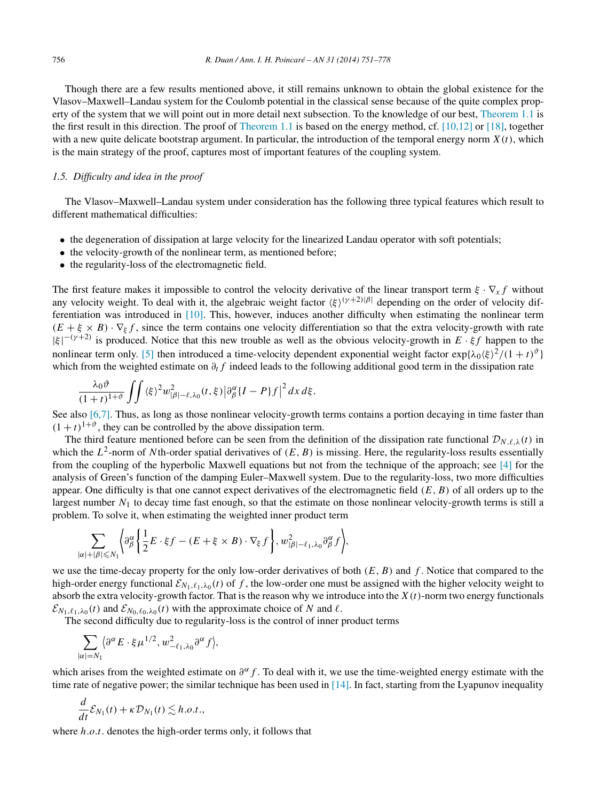Though there are a few results mentioned above, it still remains unknown to obtain the global existence for the Vlasov–Maxwell–Landau system for the Coulomb potential in the classical sense because of the quite complex property of the system that we will point out in more detail next subsection. To the knowledge of our best, [Theorem 1.1](#page-3-0) is the first result in this direction. The proof of [Theorem 1.1](#page-3-0) is based on the energy method, cf. [\[10,12\]](#page-26-0) or [\[18\],](#page-26-0) together with a new quite delicate bootstrap argument. In particular, the introduction of the temporal energy norm  $X(t)$ , which is the main strategy of the proof, captures most of important features of the coupling system.

# *1.5. Difficulty and idea in the proof*

The Vlasov–Maxwell–Landau system under consideration has the following three typical features which result to different mathematical difficulties:

- the degeneration of dissipation at large velocity for the linearized Landau operator with soft potentials;
- the velocity-growth of the nonlinear term, as mentioned before;
- the regularity-loss of the electromagnetic field.

The first feature makes it impossible to control the velocity derivative of the linear transport term *ξ* · ∇*xf* without any velocity weight. To deal with it, the algebraic weight factor  $\langle \xi \rangle^{(\gamma+2)/\beta}$  depending on the order of velocity differentiation was introduced in [\[10\].](#page-26-0) This, however, induces another difficulty when estimating the nonlinear term  $(E + \xi \times B) \cdot \nabla_{\xi} f$ , since the term contains one velocity differentiation so that the extra velocity-growth with rate |*ξ* | <sup>−</sup>*(γ* <sup>+</sup>2*)* is produced. Notice that this new trouble as well as the obvious velocity-growth in *E* · *ξf* happen to the nonlinear term only. [\[5\]](#page-26-0) then introduced a time-velocity dependent exponential weight factor  $\exp{\{\lambda_0 \langle \xi \rangle^2 / (1 + t)^{\vartheta}\}}$ which from the weighted estimate on *∂tf* indeed leads to the following additional good term in the dissipation rate

$$
\frac{\lambda_0 \vartheta}{(1+t)^{1+\vartheta}} \iint \langle \xi \rangle^2 w_{|\beta|-\ell,\lambda_0}^2(t,\xi) \big|\partial_\beta^\alpha \{I-P\}f\big|^2 dx d\xi.
$$

See also [\[6,7\].](#page-26-0) Thus, as long as those nonlinear velocity-growth terms contains a portion decaying in time faster than  $(1 + t)^{1+\vartheta}$ , they can be controlled by the above dissipation term.

The third feature mentioned before can be seen from the definition of the dissipation rate functional  $\mathcal{D}_{N,\ell,\lambda}(t)$  in which the  $L^2$ -norm of *N*th-order spatial derivatives of  $(E, B)$  is missing. Here, the regularity-loss results essentially from the coupling of the hyperbolic Maxwell equations but not from the technique of the approach; see [\[4\]](#page-26-0) for the analysis of Green's function of the damping Euler–Maxwell system. Due to the regularity-loss, two more difficulties appear. One difficulty is that one cannot expect derivatives of the electromagnetic field *(E,B)* of all orders up to the largest number  $N_1$  to decay time fast enough, so that the estimate on those nonlinear velocity-growth terms is still a problem. To solve it, when estimating the weighted inner product term

$$
\sum_{|\alpha|+|\beta| \leq N_1} \Biggl\langle \partial^\alpha_\beta \Biggl\{ \frac{1}{2} E \cdot \xi f - (E + \xi \times B) \cdot \nabla_\xi f \Biggr\}, w_{|\beta|-\ell_1,\lambda_0}^2 \partial^\alpha_\beta f \Biggr\rangle,
$$

we use the time-decay property for the only low-order derivatives of both *(E,B)* and *f* . Notice that compared to the high-order energy functional  $\mathcal{E}_{N_1,\ell_1,\lambda_0}(t)$  of f, the low-order one must be assigned with the higher velocity weight to absorb the extra velocity-growth factor. That is the reason why we introduce into the  $X(t)$ -norm two energy functionals  $\mathcal{E}_{N_1,\ell_1,\lambda_0}(t)$  and  $\mathcal{E}_{N_0,\ell_0,\lambda_0}(t)$  with the approximate choice of *N* and  $\ell$ .

The second difficulty due to regularity-loss is the control of inner product terms

$$
\sum_{|\alpha|=N_1} \langle \partial^\alpha E \cdot \xi \mu^{1/2}, w_{-\ell_1,\lambda_0}^2 \partial^\alpha f \rangle,
$$

which arises from the weighted estimate on  $\partial^{\alpha} f$ . To deal with it, we use the time-weighted energy estimate with the time rate of negative power; the similar technique has been used in  $[14]$ . In fact, starting from the Lyapunov inequality

$$
\frac{d}{dt}\mathcal{E}_{N_1}(t) + \kappa \mathcal{D}_{N_1}(t) \lesssim h.o.t.,
$$

where *h.o.t.* denotes the high-order terms only, it follows that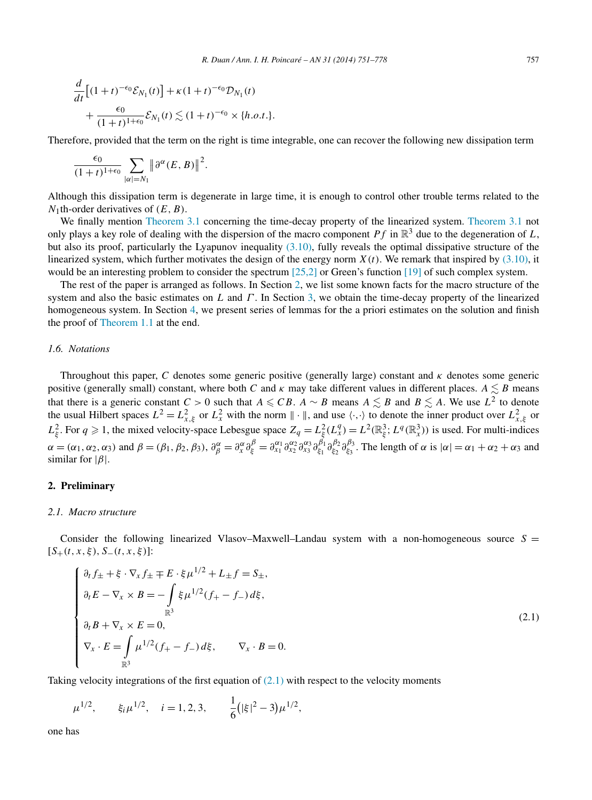<span id="page-6-0"></span>
$$
\frac{d}{dt} \left[ (1+t)^{-\epsilon_0} \mathcal{E}_{N_1}(t) \right] + \kappa (1+t)^{-\epsilon_0} \mathcal{D}_{N_1}(t) \n+ \frac{\epsilon_0}{(1+t)^{1+\epsilon_0}} \mathcal{E}_{N_1}(t) \lesssim (1+t)^{-\epsilon_0} \times \{h.o.t.\}.
$$

Therefore, provided that the term on the right is time integrable, one can recover the following new dissipation term

$$
\frac{\epsilon_0}{(1+t)^{1+\epsilon_0}}\sum_{|\alpha|=N_1}\|\partial^\alpha(E,B)\|^2.
$$

Although this dissipation term is degenerate in large time, it is enough to control other trouble terms related to the *N*1th-order derivatives of *(E,B)*.

We finally mention [Theorem](#page-8-0) 3.1 concerning the time-decay property of the linearized system. [Theorem 3.1](#page-8-0) not only plays a key role of dealing with the dispersion of the macro component  $Pf$  in  $\mathbb{R}^3$  due to the degeneration of *L*, but also its proof, particularly the Lyapunov inequality [\(3.10\),](#page-10-0) fully reveals the optimal dissipative structure of the linearized system, which further motivates the design of the energy norm  $X(t)$ . We remark that inspired by  $(3.10)$ , it would be an interesting problem to consider the spectrum [\[25,2\]](#page-27-0) or Green's function [\[19\]](#page-27-0) of such complex system.

The rest of the paper is arranged as follows. In Section 2, we list some known facts for the macro structure of the system and also the basic estimates on *L* and *Γ* . In Section [3,](#page-8-0) we obtain the time-decay property of the linearized homogeneous system. In Section [4,](#page-11-0) we present series of lemmas for the a priori estimates on the solution and finish the proof of [Theorem 1.1](#page-3-0) at the end.

### *1.6. Notations*

Throughout this paper, *C* denotes some generic positive (generally large) constant and *κ* denotes some generic positive (generally small) constant, where both *C* and  $\kappa$  may take different values in different places.  $A \lesssim B$  means that there is a generic constant  $C > 0$  such that  $A \leqslant CB$ .  $A \sim B$  means  $A \leqslant B$  and  $B \leqslant A$ . We use  $L^2$  to denote the usual Hilbert spaces  $L^2 = L_{x,\xi}^2$  or  $L_x^2$  with the norm  $\|\cdot\|$ , and use  $\langle \cdot, \cdot \rangle$  to denote the inner product over  $L_{x,\xi}^2$  or  $L_{\xi}^2$ . For  $q \ge 1$ , the mixed velocity-space Lebesgue space  $Z_q = L_{\xi}^2(L_x^q) = L^2(\mathbb{R}_{\xi}^3; L^q(\mathbb{R}_x^3))$  is used. For multi-indices  $\alpha = (\alpha_1, \alpha_2, \alpha_3)$  and  $\beta = (\beta_1, \beta_2, \beta_3)$ ,  $\partial_{\beta}^{\alpha} = \partial_x^{\alpha} \partial_{\xi}^{\beta} = \partial_{x_1}^{\alpha_1} \partial_{x_2}^{\alpha_2} \partial_{x_3}^{\beta_1} \partial_{\xi_1}^{\beta_1} \partial_{\xi_2}^{\beta_2} \partial_{\xi_3}^{\beta_3}$ . The length of  $\alpha$  is  $|\alpha| = \alpha_1 + \alpha_2 + \alpha_3$  and similar for |*β*|.

### **2. Preliminary**

#### *2.1. Macro structure*

Consider the following linearized Vlasov–Maxwell–Landau system with a non-homogeneous source  $S =$  $[S_{+}(t, x, \xi), S_{-}(t, x, \xi)]$ :

$$
\begin{cases}\n\partial_t f_{\pm} + \xi \cdot \nabla_x f_{\pm} \mp E \cdot \xi \mu^{1/2} + L_{\pm} f = S_{\pm}, \\
\partial_t E - \nabla_x \times B = -\int_{\mathbb{R}^3} \xi \mu^{1/2} (f_+ - f_-) d\xi, \\
\partial_t B + \nabla_x \times E = 0, \\
\nabla_x \cdot E = \int_{\mathbb{R}^3} \mu^{1/2} (f_+ - f_-) d\xi, \qquad \nabla_x \cdot B = 0.\n\end{cases}
$$
\n(2.1)

Taking velocity integrations of the first equation of  $(2.1)$  with respect to the velocity moments

 $\mu^{1/2}$ ,  $\xi_i \mu^{1/2}$ ,  $i = 1, 2, 3, \frac{1}{6}$  $(|\xi|^2 - 3)\mu^{1/2}$ ,

one has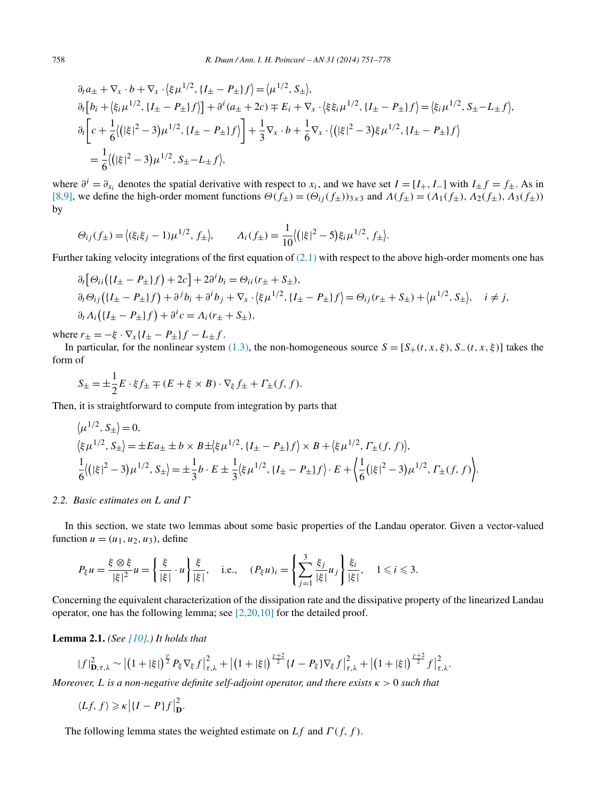<span id="page-7-0"></span>
$$
\partial_t a_{\pm} + \nabla_x \cdot b + \nabla_x \cdot \left(\xi \mu^{1/2}, \{I_{\pm} - P_{\pm}\}f\right) = \left(\mu^{1/2}, S_{\pm}\right),
$$
  
\n
$$
\partial_t \left[b_i + \left(\xi_i \mu^{1/2}, \{I_{\pm} - P_{\pm}\}f\right)\right] + \partial^i (a_{\pm} + 2c) \mp E_i + \nabla_x \cdot \left(\xi \xi_i \mu^{1/2}, \{I_{\pm} - P_{\pm}\}f\right) = \left(\xi_i \mu^{1/2}, S_{\pm} - L_{\pm}f\right),
$$
  
\n
$$
\partial_t \left[c + \frac{1}{6} \left(\left|\xi\right|^2 - 3\right) \mu^{1/2}, \{I_{\pm} - P_{\pm}\}f\right] + \frac{1}{3} \nabla_x \cdot b + \frac{1}{6} \nabla_x \cdot \left(\left|\xi\right|^2 - 3\right) \xi \mu^{1/2}, \{I_{\pm} - P_{\pm}\}f\right)
$$
  
\n
$$
= \frac{1}{6} \left(\left|\xi\right|^2 - 3\right) \mu^{1/2}, S_{\pm} - L_{\pm}f\right),
$$

where  $\partial^i = \partial_{x_i}$  denotes the spatial derivative with respect to  $x_i$ , and we have set  $I = [I_+, I_-]$  with  $I_{\pm} f = f_{\pm}$ . As in [\[8,9\],](#page-26-0) we define the high-order moment functions *Θ(f*±*)* = *(Θij (f*±*))*3×<sup>3</sup> and *Λ(f*±*)* = *(Λ*1*(f*±*),Λ*2*(f*±*),Λ*3*(f*±*))* by

$$
\Theta_{ij}(f_{\pm}) = \langle (\xi_i \xi_j - 1) \mu^{1/2}, f_{\pm} \rangle, \qquad \Lambda_i(f_{\pm}) = \frac{1}{10} \langle (|\xi|^2 - 5) \xi_i \mu^{1/2}, f_{\pm} \rangle.
$$

Further taking velocity integrations of the first equation of [\(2.1\)](#page-6-0) with respect to the above high-order moments one has

$$
\partial_t [\Theta_{ii}(\{I_{\pm} - P_{\pm}\}f) + 2c] + 2\partial^i b_i = \Theta_{ii}(r_{\pm} + S_{\pm}),
$$
  
\n
$$
\partial_t \Theta_{ij}(\{I_{\pm} - P_{\pm}\}f) + \partial^j b_i + \partial^i b_j + \nabla_x \cdot (\xi \mu^{1/2}, \{I_{\pm} - P_{\pm}\}f) = \Theta_{ij}(r_{\pm} + S_{\pm}) + (\mu^{1/2}, S_{\pm}), \quad i \neq j,
$$
  
\n
$$
\partial_t \Lambda_i(\{I_{\pm} - P_{\pm}\}f) + \partial^i c = \Lambda_i(r_{\pm} + S_{\pm}),
$$

where  $r_{\pm} = -\xi \cdot \nabla_x \{I_{\pm} - P_{\pm}\} f - L_{\pm} f$ .

In particular, for the nonlinear system [\(1.3\),](#page-1-0) the non-homogeneous source  $S = [S_+(t,x,\xi), S_-(t,x,\xi)]$  takes the form of

$$
S_{\pm} = \pm \frac{1}{2} E \cdot \xi f_{\pm} \mp (E + \xi \times B) \cdot \nabla_{\xi} f_{\pm} + \Gamma_{\pm} (f, f).
$$

Then, it is straightforward to compute from integration by parts that

$$
\langle \mu^{1/2}, S_{\pm} \rangle = 0,
$$
  
\n
$$
\langle \xi \mu^{1/2}, S_{\pm} \rangle = \pm E a_{\pm} \pm b \times B \pm \langle \xi \mu^{1/2}, \{I_{\pm} - P_{\pm}\} f \rangle \times B + \langle \xi \mu^{1/2}, \Gamma_{\pm}(f, f) \rangle,
$$
  
\n
$$
\frac{1}{6} \langle (|\xi|^2 - 3) \mu^{1/2}, S_{\pm} \rangle = \pm \frac{1}{3} b \cdot E \pm \frac{1}{3} \langle \xi \mu^{1/2}, \{I_{\pm} - P_{\pm}\} f \rangle \cdot E + \langle \frac{1}{6} (|\xi|^2 - 3) \mu^{1/2}, \Gamma_{\pm}(f, f) \rangle.
$$

### *2.2. Basic estimates on L and Γ*

In this section, we state two lemmas about some basic properties of the Landau operator. Given a vector-valued function  $u = (u_1, u_2, u_3)$ , define

$$
P_{\xi}u = \frac{\xi \otimes \xi}{|\xi|^2}u = \left\{\frac{\xi}{|\xi|} \cdot u\right\} \frac{\xi}{|\xi|}, \quad \text{i.e.,} \quad (P_{\xi}u)_i = \left\{\sum_{j=1}^3 \frac{\xi_j}{|\xi|} u_j\right\} \frac{\xi_i}{|\xi|}, \quad 1 \leq i \leq 3.
$$

Concerning the equivalent characterization of the dissipation rate and the dissipative property of the linearized Landau operator, one has the following lemma; see [\[2,20,10\]](#page-26-0) for the detailed proof.

**Lemma 2.1.** *(See [\[10\].](#page-26-0)) It holds that*

$$
|f|_{\mathbf{D},\tau,\lambda}^2 \sim \left| \left(1+|\xi|\right)^{\frac{\gamma}{2}} P_{\xi} \nabla_{\xi} f \right|_{\tau,\lambda}^2 + \left| \left(1+|\xi|\right)^{\frac{\gamma+2}{2}} \{I-P_{\xi}\} \nabla_{\xi} f \right|_{\tau,\lambda}^2 + \left| \left(1+|\xi|\right)^{\frac{\gamma+2}{2}} f \right|_{\tau,\lambda}^2.
$$

*Moreover, L is a non-negative definite self-adjoint operator, and there exists κ >* 0 *such that*

$$
\langle Lf, f \rangle \geqslant \kappa \left| \{ I - P \} f \right|_{\mathbf{D}}^2.
$$

The following lemma states the weighted estimate on *Lf* and *Γ (f,f )*.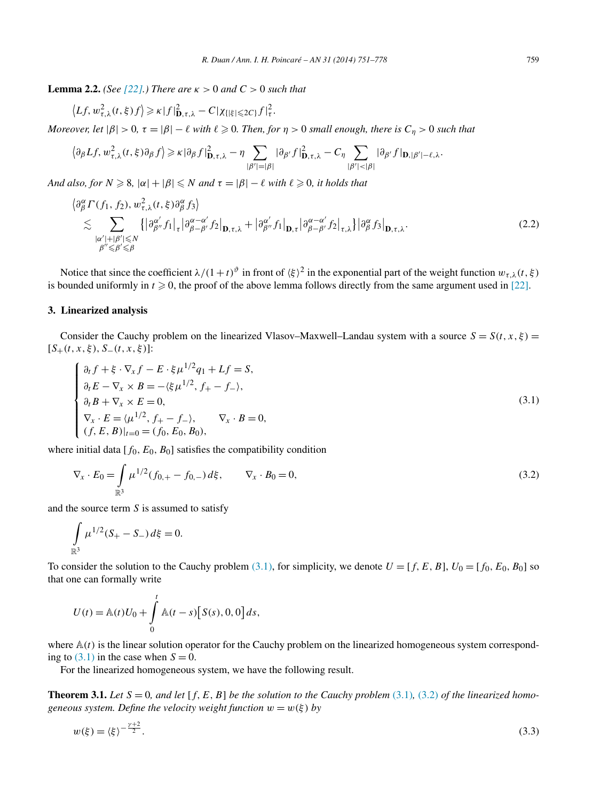<span id="page-8-0"></span>**Lemma 2.2.** *(See* [\[22\].](#page-27-0)*) There are*  $\kappa > 0$  *and*  $C > 0$  *such that* 

$$
\left\langle Lf, w_{\tau,\lambda}^2(t,\xi)f\right\rangle \geq \kappa |f|_{\mathbf{D},\tau,\lambda}^2 - C|\chi_{\{|\xi| \leq 2C\}}f|_{\tau}^2.
$$

*Moreover, let*  $|\beta| > 0$ ,  $\tau = |\beta| - \ell$  *with*  $\ell \geq 0$ . Then, for  $\eta > 0$  small enough, there is  $C_{\eta} > 0$  such that

$$
\left\langle \partial_{\beta} L f, w_{\tau,\lambda}^2(t,\xi) \partial_{\beta} f \right\rangle \geq \kappa |\partial_{\beta} f|_{\mathbf{D},\tau,\lambda}^2 - \eta \sum_{|\beta'| = |\beta|} |\partial_{\beta'} f|_{\mathbf{D},\tau,\lambda}^2 - C_{\eta} \sum_{|\beta'| < |\beta|} |\partial_{\beta'} f|_{\mathbf{D},|\beta'| - \ell,\lambda}.
$$

*And also, for*  $N \ge 8$ ,  $|\alpha| + |\beta| \le N$  *and*  $\tau = |\beta| - \ell$  *with*  $\ell \ge 0$ *, it holds that* 

$$
\begin{split}\n\partial_{\beta}^{\alpha} \Gamma(f_{1}, f_{2}), \, & w_{\tau, \lambda}^{2}(t, \xi) \partial_{\beta}^{\alpha} f_{3} \rangle \\
&\lesssim \sum_{\substack{|\alpha'|+|\beta'| \le N \\ \beta'' \le \beta' \le \beta}} \left\{ \left| \partial_{\beta''}^{\alpha'} f_{1} \right|_{\tau} \left| \partial_{\beta-\beta'}^{\alpha-\alpha'} f_{2} \right|_{\mathbf{D}, \tau, \lambda} + \left| \partial_{\beta''}^{\alpha'} f_{1} \right|_{\mathbf{D}, \tau} \left| \partial_{\beta-\beta'}^{\alpha-\alpha'} f_{2} \right|_{\tau, \lambda} \right\} \left| \partial_{\beta}^{\alpha} f_{3} \right|_{\mathbf{D}, \tau, \lambda}.\n\end{split} \tag{2.2}
$$

Notice that since the coefficient  $\lambda/(1+t)^{\vartheta}$  in front of  $\langle \xi \rangle^2$  in the exponential part of the weight function  $w_{\tau,\lambda}(t,\xi)$ is bounded uniformly in  $t \ge 0$ , the proof of the above lemma follows directly from the same argument used in [\[22\].](#page-27-0)

# **3. Linearized analysis**

 $\overline{\langle}$ 

Consider the Cauchy problem on the linearized Vlasov–Maxwell–Landau system with a source  $S = S(t, x, \xi)$ [*S*+*(t,x,ξ),S*−*(t,x,ξ)*]:

$$
\begin{cases}\n\partial_t f + \xi \cdot \nabla_x f - E \cdot \xi \mu^{1/2} q_1 + Lf = S, \\
\partial_t E - \nabla_x \times B = -\langle \xi \mu^{1/2}, f_+ - f_- \rangle, \\
\partial_t B + \nabla_x \times E = 0, \\
\nabla_x \cdot E = \langle \mu^{1/2}, f_+ - f_- \rangle, \nabla_x \cdot B = 0, \\
(f, E, B)|_{t=0} = (f_0, E_0, B_0),\n\end{cases}
$$
\n(3.1)

where initial data  $[f_0, E_0, B_0]$  satisfies the compatibility condition

$$
\nabla_x \cdot E_0 = \int_{\mathbb{R}^3} \mu^{1/2} (f_{0,+} - f_{0,-}) \, d\xi, \qquad \nabla_x \cdot B_0 = 0,
$$
\n(3.2)

and the source term *S* is assumed to satisfy

$$
\int_{\mathbb{R}^3} \mu^{1/2} (S_+ - S_-) d\xi = 0.
$$

To consider the solution to the Cauchy problem (3.1), for simplicity, we denote  $U = [f, E, B]$ ,  $U_0 = [f_0, E_0, B_0]$  so that one can formally write

$$
U(t) = \mathbb{A}(t)U_0 + \int_0^t \mathbb{A}(t-s)[S(s), 0, 0] ds,
$$

where  $A(t)$  is the linear solution operator for the Cauchy problem on the linearized homogeneous system corresponding to  $(3.1)$  in the case when  $S = 0$ .

For the linearized homogeneous system, we have the following result.

**Theorem 3.1.** *Let*  $S = 0$ *, and let*  $[f, E, B]$  *be the solution to the Cauchy problem* (3.1)*,* (3.2*) of the linearized homogeneous system. Define the velocity weight function*  $w = w(\xi)$  *by* 

$$
w(\xi) = \langle \xi \rangle^{-\frac{\gamma + 2}{2}}.
$$
\n
$$
(3.3)
$$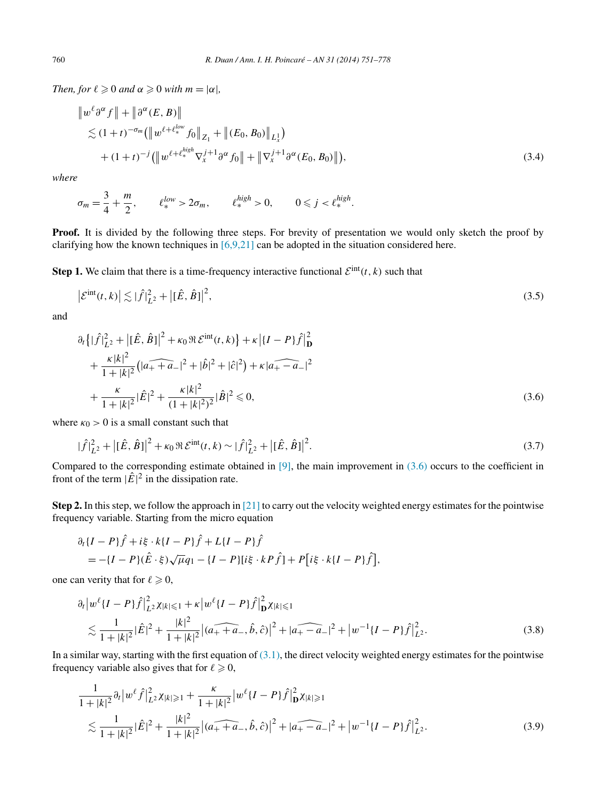<span id="page-9-0"></span>*Then, for*  $\ell \geqslant 0$  *and*  $\alpha \geqslant 0$  *with*  $m = |\alpha|$ *,* 

$$
\|w^{\ell}\partial^{\alpha} f\| + \|\partial^{\alpha}(E, B)\|
$$
  
\n
$$
\lesssim (1+t)^{-\sigma_m} (\|w^{\ell+\ell_{\ast}^{low}} f_0\|_{Z_1} + \|(E_0, B_0)\|_{L_x^1})
$$
  
\n
$$
+ (1+t)^{-j} (\|w^{\ell+\ell_{\ast}^{high}} \nabla_x^{j+1} \partial^{\alpha} f_0\| + \|\nabla_x^{j+1}\partial^{\alpha}(E_0, B_0)\|),
$$
\n(3.4)

*where*

$$
\sigma_m = \frac{3}{4} + \frac{m}{2}, \qquad \ell^{low}_* > 2\sigma_m, \qquad \ell^{high}_* > 0, \qquad 0 \leq j < \ell^{high}_*.
$$

**Proof.** It is divided by the following three steps. For brevity of presentation we would only sketch the proof by clarifying how the known techniques in  $[6,9,21]$  can be adopted in the situation considered here.

**Step 1.** We claim that there is a time-frequency interactive functional  $\mathcal{E}^{\text{int}}(t, k)$  such that

$$
\left|\mathcal{E}^{\text{int}}(t,k)\right| \lesssim \left|\hat{f}\right|_{L^{2}}^{2} + \left|[\hat{E},\hat{B}]\right|^{2},\tag{3.5}
$$

and

$$
\partial_t \left\{ |\hat{f}|_{L^2}^2 + |[\hat{E}, \hat{B}]|^2 + \kappa_0 \Re \mathcal{E}^{\text{int}}(t, k) \right\} + \kappa \left| \{I - P\} \hat{f} \right|_{\mathbf{D}}^2
$$
  
+ 
$$
\frac{\kappa |k|^2}{1 + |k|^2} \left( |a_+ + a_-|^2 + |\hat{b}|^2 + |\hat{c}|^2 \right) + \kappa |a_+ - a_-|^2
$$
  
+ 
$$
\frac{\kappa}{1 + |k|^2} |\hat{E}|^2 + \frac{\kappa |k|^2}{(1 + |k|^2)^2} |\hat{B}|^2 \le 0,
$$
 (3.6)

where  $\kappa_0 > 0$  is a small constant such that

$$
|\hat{f}|_{L^{2}}^{2} + |[\hat{E}, \hat{B}]|^{2} + \kappa_{0} \Re \mathcal{E}^{\text{int}}(t, k) \sim |\hat{f}|_{L^{2}}^{2} + |[\hat{E}, \hat{B}]|^{2}.
$$
\n(3.7)

Compared to the corresponding estimate obtained in  $[9]$ , the main improvement in  $(3.6)$  occurs to the coefficient in front of the term  $|\hat{E}|^2$  in the dissipation rate.

**Step 2.** In this step, we follow the approach in [\[21\]](#page-27-0) to carry out the velocity weighted energy estimates for the pointwise frequency variable. Starting from the micro equation

$$
\partial_t \{I - P\} \hat{f} + i\xi \cdot k \{I - P\} \hat{f} + L \{I - P\} \hat{f} = -\{I - P\} (\hat{E} \cdot \xi) \sqrt{\mu} q_1 - \{I - P\} [i\xi \cdot kP \hat{f}] + P[i\xi \cdot k \{I - P\} \hat{f}],
$$

one can verity that for  $\ell \geqslant 0$ ,

$$
\partial_t |w^{\ell} \{I - P\} \hat{f}|_{L^2}^2 \chi_{|k| \leq 1} + \kappa |w^{\ell} \{I - P\} \hat{f}|_{\mathbf{D}}^2 \chi_{|k| \leq 1} \n\lesssim \frac{1}{1 + |k|^2} |\hat{E}|^2 + \frac{|k|^2}{1 + |k|^2} |(a_+ + a_-, \hat{b}, \hat{c})|^2 + |a_+ - a_-|^2 + |w^{-1} \{I - P\} \hat{f}|_{L^2}^2.
$$
\n(3.8)

In a similar way, starting with the first equation of  $(3.1)$ , the direct velocity weighted energy estimates for the pointwise frequency variable also gives that for  $\ell \geqslant 0$ ,

$$
\frac{1}{1+|k|^2} \partial_t |w^\ell \hat{f}|^2_{L^2} \chi_{|k|\geq 1} + \frac{\kappa}{1+|k|^2} |w^\ell \{I-P\} \hat{f}|^2_{\mathbf{D}} \chi_{|k|\geq 1} \n\lesssim \frac{1}{1+|k|^2} |\hat{E}|^2 + \frac{|k|^2}{1+|k|^2} |(a_+ + a_-, \hat{b}, \hat{c})|^2 + |a_+ - a_-|^2 + |w^{-1} \{I-P\} \hat{f}|^2_{L^2}.
$$
\n(3.9)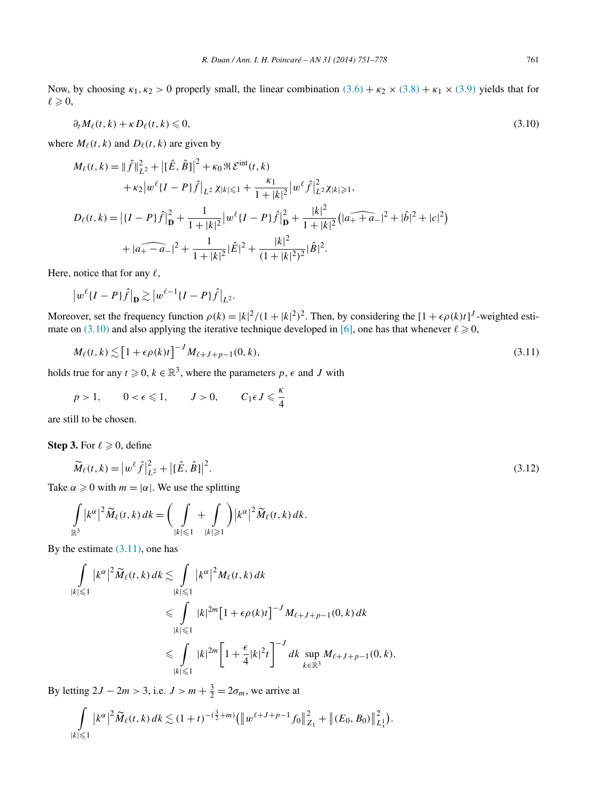<span id="page-10-0"></span>Now, by choosing  $\kappa_1, \kappa_2 > 0$  properly small, the linear combination  $(3.6) + \kappa_2 \times (3.8) + \kappa_1 \times (3.9)$  $(3.6) + \kappa_2 \times (3.8) + \kappa_1 \times (3.9)$  $(3.6) + \kappa_2 \times (3.8) + \kappa_1 \times (3.9)$  $(3.6) + \kappa_2 \times (3.8) + \kappa_1 \times (3.9)$  $(3.6) + \kappa_2 \times (3.8) + \kappa_1 \times (3.9)$  yields that for  $\ell \geqslant 0,$ 

$$
\partial_t M_\ell(t,k) + \kappa D_\ell(t,k) \leqslant 0,\tag{3.10}
$$

where  $M_{\ell}(t, k)$  and  $D_{\ell}(t, k)$  are given by

$$
M_{\ell}(t,k) = ||\hat{f}||_{L^{2}}^{2} + |[\hat{E}, \hat{B}]|^{2} + \kappa_{0} \Re \mathcal{E}^{\text{int}}(t,k)
$$
  
+  $\kappa_{2} |w^{\ell} \{I - P\} \hat{f}\big|_{L^{2}} \chi_{|k| \leq 1} + \frac{\kappa_{1}}{1 + |k|^{2}} |w^{\ell} \hat{f}|_{L^{2}}^{2} \chi_{|k| \geq 1},$   

$$
D_{\ell}(t,k) = |\{I - P\} \hat{f}\big|_{\mathbf{D}}^{2} + \frac{1}{1 + |k|^{2}} |w^{\ell} \{I - P\} \hat{f}\big|_{\mathbf{D}}^{2} + \frac{|k|^{2}}{1 + |k|^{2}} (|\widehat{a_{+} + a_{-}}|^{2} + |\hat{b}|^{2} + |c|^{2})
$$
  
+  $|\widehat{a_{+} - a_{-}}|^{2} + \frac{1}{1 + |k|^{2}} |\hat{E}|^{2} + \frac{|k|^{2}}{(1 + |k|^{2})^{2}} |\hat{B}|^{2}.$ 

Here, notice that for any  $\ell$ ,

$$
\left|w^{\ell}\{I-P\}\hat{f}\right|_{\mathbf{D}} \gtrsim \left|w^{\ell-1}\{I-P\}\hat{f}\right|_{L^2}.
$$

Moreover, set the frequency function  $\rho(k) = |k|^2/(1+|k|^2)^2$ . Then, by considering the  $[1+\epsilon \rho(k)t]^J$ -weighted esti-mate on (3.10) and also applying the iterative technique developed in [\[6\],](#page-26-0) one has that whenever  $\ell \geqslant 0$ ,

$$
M_{\ell}(t,k) \lesssim \left[1 + \epsilon \rho(k)t\right]^{-J} M_{\ell+J+p-1}(0,k),\tag{3.11}
$$

holds true for any  $t \ge 0$ ,  $k \in \mathbb{R}^3$ , where the parameters  $p, \epsilon$  and *J* with

$$
p>1, \qquad 0<\epsilon\leqslant 1, \qquad J>0, \qquad C_1\epsilon J\leqslant \frac{\kappa}{4}
$$

are still to be chosen.

**Step 3.** For  $\ell \geqslant 0$ , define

$$
\widetilde{M}_{\ell}(t,k) = \left| w^{\ell} \hat{f} \right|_{L^{2}}^{2} + \left| [\hat{E}, \hat{B}] \right|^{2}.
$$
\n(3.12)

Take  $\alpha \geq 0$  with  $m = |\alpha|$ . We use the splitting

$$
\int_{\mathbb{R}^3} |k^{\alpha}|^2 \widetilde{M}_{\ell}(t,k) \, dk = \bigg( \int_{|k| \leqslant 1} + \int_{|k| \geqslant 1} \bigg) |k^{\alpha}|^2 \widetilde{M}_{\ell}(t,k) \, dk.
$$

By the estimate  $(3.11)$ , one has

$$
\int_{|k| \leq 1} |k^{\alpha}|^{2} \widetilde{M}_{\ell}(t,k) dk \lesssim \int_{|k| \leq 1} |k^{\alpha}|^{2} M_{\ell}(t,k) dk
$$
\n
$$
\leq \int_{|k| \leq 1} |k|^{2m} \left[1 + \epsilon \rho(k)t\right]^{-J} M_{\ell+J+p-1}(0,k) dk
$$
\n
$$
\leq \int_{|k| \leq 1} |k|^{2m} \left[1 + \frac{\epsilon}{4} |k|^{2} t\right]^{-J} dk \sup_{k \in \mathbb{R}^{3}} M_{\ell+J+p-1}(0,k).
$$

By letting  $2J - 2m > 3$ , i.e.  $J > m + \frac{3}{2} = 2\sigma_m$ , we arrive at

$$
\int\limits_{|k|\leqslant 1} |k^{\alpha}|^2\widetilde{M}_{\ell}(t,k)\,dk \lesssim (1+t)^{-(\frac{3}{2}+m)}\big(\big\|w^{\ell+J+p-1}f_0\big\|_{Z_1}^2+\big\|(E_0,B_0)\big\|_{L_x^1}^2\big).
$$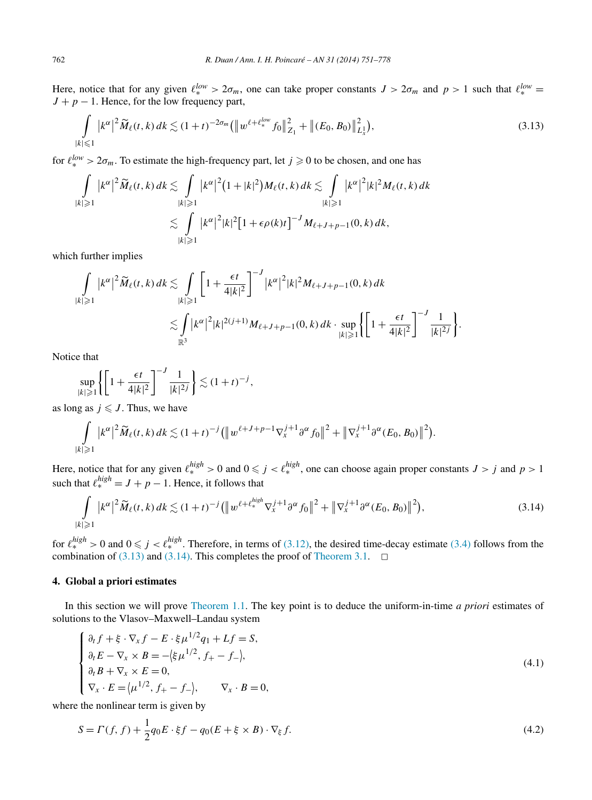<span id="page-11-0"></span>Here, notice that for any given  $\ell_{*}^{low} > 2\sigma_m$ , one can take proper constants  $J > 2\sigma_m$  and  $p > 1$  such that  $\ell_{*}^{low} =$  $J + p - 1$ . Hence, for the low frequency part,

$$
\int_{|k| \leq 1} |k^{\alpha}|^2 \widetilde{M}_{\ell}(t,k) \, dk \lesssim (1+t)^{-2\sigma_m} \big( \big( \|w^{\ell+\ell_{\ast}^{low}} f_0\|_{Z_1}^2 + \big( \|E_0, B_0\|_{L_x^1}^2 \big),\tag{3.13}
$$

for  $\ell_{*}^{low} > 2\sigma_m$ . To estimate the high-frequency part, let  $j \geq 0$  to be chosen, and one has

$$
\int_{|k|\geqslant 1} |k^{\alpha}|^2 \widetilde{M}_{\ell}(t,k) dk \lesssim \int_{|k|\geqslant 1} |k^{\alpha}|^2 (1+|k|^2) M_{\ell}(t,k) dk \lesssim \int_{|k|\geqslant 1} |k^{\alpha}|^2 |k|^2 M_{\ell}(t,k) dk
$$
  

$$
\lesssim \int_{|k|\geqslant 1} |k^{\alpha}|^2 |k|^2 [1+\epsilon \rho(k)t]^{-J} M_{\ell+J+p-1}(0,k) dk,
$$

which further implies

$$
\int_{|k| \geq 1} |k^{\alpha}|^{2} \widetilde{M}_{\ell}(t,k) dk \lesssim \int_{|k| \geq 1} \left[ 1 + \frac{\epsilon t}{4|k|^{2}} \right]^{-J} |k^{\alpha}|^{2} |k|^{2} M_{\ell+J+p-1}(0,k) dk
$$
  

$$
\lesssim \int_{\mathbb{R}^{3}} |k^{\alpha}|^{2} |k|^{2(j+1)} M_{\ell+J+p-1}(0,k) dk \cdot \sup_{|k| \geq 1} \left\{ \left[ 1 + \frac{\epsilon t}{4|k|^{2}} \right]^{-J} \frac{1}{|k|^{2j}} \right\}.
$$

Notice that

$$
\sup_{|k|\geq 1} \left\{ \left[ 1 + \frac{\epsilon t}{4|k|^2} \right]^{-J} \frac{1}{|k|^{2j}} \right\} \lesssim (1+t)^{-j},
$$

as long as  $j \leq J$ . Thus, we have

$$
\int_{|k|\geqslant 1} |k^{\alpha}|^2 \widetilde{M}_{\ell}(t,k) \, dk \lesssim (1+t)^{-j} \big( \big\| w^{\ell+J+p-1} \nabla_x^{j+1} \partial^{\alpha} f_0 \big\|^2 + \big\| \nabla_x^{j+1} \partial^{\alpha} (E_0, B_0) \big\|^2 \big).
$$

Here, notice that for any given  $\ell_*^{high} > 0$  and  $0 \le j < \ell_*^{high}$ , one can choose again proper constants  $J > j$  and  $p > 1$ such that  $\ell_{*}^{high} = J + p - 1$ . Hence, it follows that

$$
\int_{|k|\geqslant 1} |k^{\alpha}|^2 \widetilde{M}_{\ell}(t,k) \, dk \lesssim (1+t)^{-j} \left( \left\| w^{\ell+\ell_{*}^{high}} \nabla_{x}^{j+1} \partial^{\alpha} f_{0} \right\|^{2} + \left\| \nabla_{x}^{j+1} \partial^{\alpha} (E_0, B_0) \right\|^{2} \right),\tag{3.14}
$$

for  $\ell_{*}^{high} > 0$  and  $0 \le j < \ell_{*}^{high}$ . Therefore, in terms of [\(3.12\),](#page-10-0) the desired time-decay estimate [\(3.4\)](#page-9-0) follows from the combination of  $(3.13)$  and  $(3.14)$ . This completes the proof of [Theorem 3.1.](#page-8-0)

# **4. Global a priori estimates**

In this section we will prove [Theorem 1.1.](#page-3-0) The key point is to deduce the uniform-in-time *a priori* estimates of solutions to the Vlasov–Maxwell–Landau system

$$
\begin{cases}\n\partial_t f + \xi \cdot \nabla_x f - E \cdot \xi \mu^{1/2} q_1 + Lf = S, \\
\partial_t E - \nabla_x \times B = -\langle \xi \mu^{1/2}, f_+ - f_- \rangle, \\
\partial_t B + \nabla_x \times E = 0, \\
\nabla_x \cdot E = \langle \mu^{1/2}, f_+ - f_- \rangle, \qquad \nabla_x \cdot B = 0,\n\end{cases}
$$
\n(4.1)

where the nonlinear term is given by

$$
S = \Gamma(f, f) + \frac{1}{2}q_0 E \cdot \xi f - q_0 (E + \xi \times B) \cdot \nabla_{\xi} f. \tag{4.2}
$$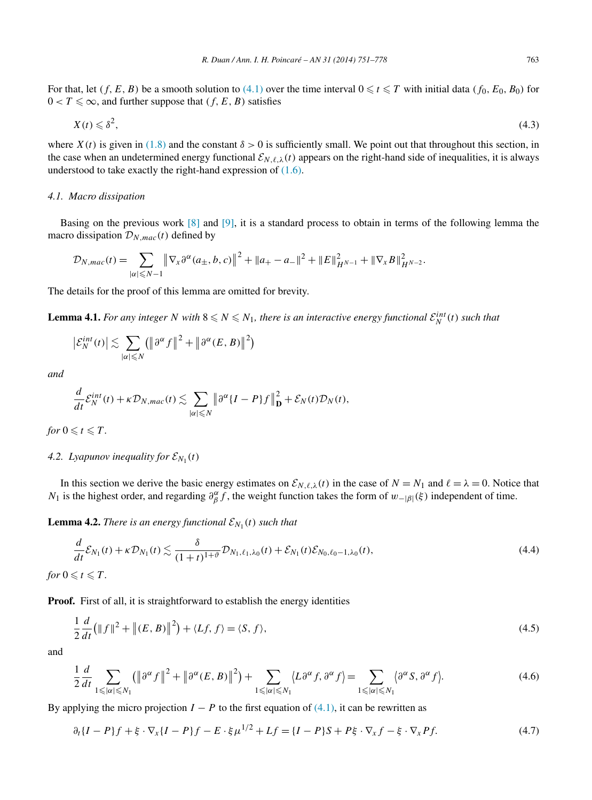<span id="page-12-0"></span>For that, let  $(f, E, B)$  be a smooth solution to  $(4.1)$  over the time interval  $0 \le t \le T$  with initial data  $(f_0, E_0, B_0)$  for  $0 < T \leq \infty$ , and further suppose that  $(f, E, B)$  satisfies

$$
X(t) \leq \delta^2,\tag{4.3}
$$

where  $X(t)$  is given in [\(1.8\)](#page-3-0) and the constant  $\delta > 0$  is sufficiently small. We point out that throughout this section, in the case when an undetermined energy functional  $\mathcal{E}_{N,\ell,\lambda}(t)$  appears on the right-hand side of inequalities, it is always understood to take exactly the right-hand expression of  $(1.6)$ .

# *4.1. Macro dissipation*

Basing on the previous work [\[8\]](#page-26-0) and [\[9\],](#page-26-0) it is a standard process to obtain in terms of the following lemma the macro dissipation  $\mathcal{D}_{N,mac}(t)$  defined by

$$
\mathcal{D}_{N,mac}(t) = \sum_{|\alpha| \leq N-1} \left\| \nabla_x \partial^{\alpha} (a_{\pm}, b, c) \right\|^2 + \|a_{+} - a_{-}\|^2 + \|E\|_{H^{N-1}}^2 + \|\nabla_x B\|_{H^{N-2}}^2.
$$

The details for the proof of this lemma are omitted for brevity.

**Lemma 4.1.** *For any integer N with*  $8 \leq N \leq N_1$ , *there is an interactive energy functional*  $\mathcal{E}_N^{int}(t)$  *such that* 

$$
\left|\mathcal{E}_N^{int}(t)\right| \lesssim \sum_{|\alpha| \leq N} \left(\left\|\partial^{\alpha} f\right\|^2 + \left\|\partial^{\alpha} (E, B)\right\|^2\right)
$$

*and*

$$
\frac{d}{dt}\mathcal{E}_N^{int}(t) + \kappa \mathcal{D}_{N,mac}(t) \lesssim \sum_{|\alpha| \leq N} \left\|\partial^{\alpha} \{I - P\}f\right\|_{\mathbf{D}}^2 + \mathcal{E}_N(t)\mathcal{D}_N(t),
$$

*for*  $0 \le t \le T$ *.* 

# *4.2. Lyapunov inequality for*  $\mathcal{E}_{N_1}(t)$

In this section we derive the basic energy estimates on  $\mathcal{E}_{N,\ell,\lambda}(t)$  in the case of  $N = N_1$  and  $\ell = \lambda = 0$ . Notice that *N*<sub>1</sub> is the highest order, and regarding  $\partial_{\beta}^{\alpha} f$ , the weight function takes the form of *w*−|*β*| $(\xi)$  independent of time.

**Lemma 4.2.** *There is an energy functional*  $\mathcal{E}_{N_1}(t)$  *such that* 

$$
\frac{d}{dt}\mathcal{E}_{N_1}(t) + \kappa \mathcal{D}_{N_1}(t) \lesssim \frac{\delta}{(1+t)^{1+\vartheta}} \mathcal{D}_{N_1,\ell_1,\lambda_0}(t) + \mathcal{E}_{N_1}(t)\mathcal{E}_{N_0,\ell_0-1,\lambda_0}(t),
$$
\n
$$
0 \leq t \leq T.
$$
\n
$$
(4.4)
$$

**Proof.** First of all, it is straightforward to establish the energy identities

$$
\frac{1}{2}\frac{d}{dt}\left(\|f\|^2 + \left\|(E,B)\right\|^2\right) + \langle Lf,f\rangle = \langle S,f\rangle,\tag{4.5}
$$

and

*for* 

$$
\frac{1}{2}\frac{d}{dt}\sum_{1\leqslant|\alpha|\leqslant N_1}(\left\|\partial^{\alpha}f\right\|^2+\left\|\partial^{\alpha}(E,B)\right\|^2)+\sum_{1\leqslant|\alpha|\leqslant N_1}\langle L\partial^{\alpha}f,\partial^{\alpha}f\rangle=\sum_{1\leqslant|\alpha|\leqslant N_1}\langle\partial^{\alpha}S,\partial^{\alpha}f\rangle.
$$
\n(4.6)

By applying the micro projection  $I - P$  to the first equation of [\(4.1\),](#page-11-0) it can be rewritten as

$$
\partial_t \{I - P\} f + \xi \cdot \nabla_x \{I - P\} f - E \cdot \xi \mu^{1/2} + Lf = \{I - P\} S + P\xi \cdot \nabla_x f - \xi \cdot \nabla_x Pf. \tag{4.7}
$$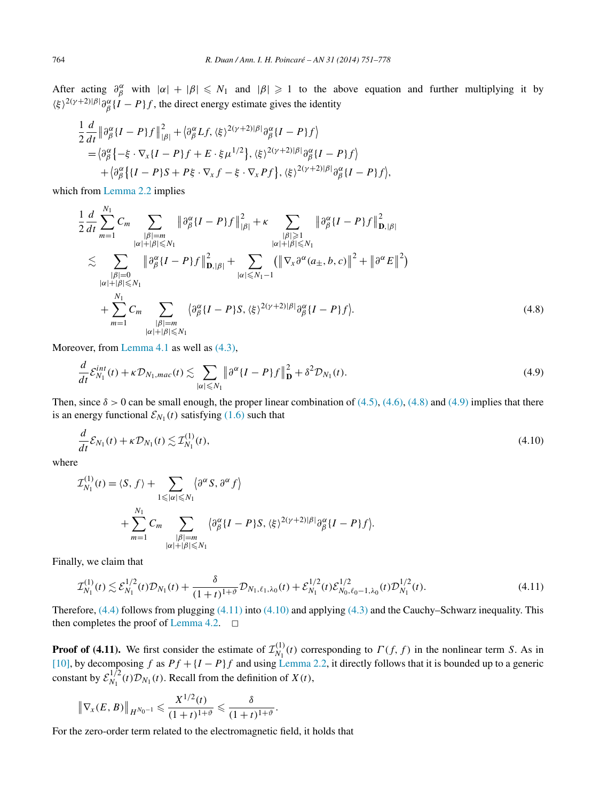<span id="page-13-0"></span>After acting  $\partial_{\beta}^{\alpha}$  with  $|\alpha| + |\beta| \le N_1$  and  $|\beta| \ge 1$  to the above equation and further multiplying it by  $\langle \xi \rangle^{2(\gamma+2)|\beta|} \partial_{\beta}^{\alpha} \{I - P\} f$ , the direct energy estimate gives the identity

$$
\frac{1}{2}\frac{d}{dt}\left\|\partial_{\beta}^{\alpha}\left\{I-P\right\}f\right\|_{\left|\beta\right|}^{2} + \left\{\partial_{\beta}^{\alpha}Lf,\left\langle\xi\right\rangle^{2(\gamma+2)|\beta|}\partial_{\beta}^{\alpha}\left\{I-P\right\}f\right\} \n= \left\{\partial_{\beta}^{\alpha}\left\{-\xi\cdot\nabla_{x}\left\{I-P\right\}f + E\cdot\xi\mu^{1/2}\right\},\left\langle\xi\right\rangle^{2(\gamma+2)|\beta|}\partial_{\beta}^{\alpha}\left\{I-P\right\}f\right\} \n+ \left\{\partial_{\beta}^{\alpha}\left\{\left\{I-P\right\}S + P\xi\cdot\nabla_{x}f - \xi\cdot\nabla_{x}Pf\right\},\left\langle\xi\right\rangle^{2(\gamma+2)|\beta|}\partial_{\beta}^{\alpha}\left\{I-P\right\}f\right\},
$$

which from [Lemma 2.2](#page-8-0) implies

$$
\frac{1}{2}\frac{d}{dt}\sum_{m=1}^{N_{1}}C_{m}\sum_{\substack{|\beta|=m\\|\alpha|+|\beta|\leq N_{1}\\|\beta|=0}}\left\|\partial_{\beta}^{\alpha}\{I-P\}f\right\|_{|\beta|}^{2} + \kappa \sum_{\substack{|\beta|\geq 1\\|\alpha|+|\beta|\leq N_{1}\\|\alpha|+|\beta|\leq N_{1}}} \left\|\partial_{\beta}^{\alpha}\{I-P\}f\right\|_{\mathbf{D},|\beta|}^{2} + \sum_{\substack{|\alpha|+|\beta|\leq N_{1}\\|\alpha|+|\beta|\leq N_{1}\\|\alpha|+|\beta|\leq N_{1}}} \left(\left\|\nabla_{x}\partial^{\alpha}(a_{\pm},b,c)\right\|^{2} + \left\|\partial^{\alpha}E\right\|^{2}\right) + \sum_{\substack{|\alpha|+|\beta|\leq N_{1}\\|\alpha|+|\beta|\leq N_{1}}} \left\{\partial_{\beta}^{\alpha}\{I-P\}S, \langle\xi\rangle^{2(\gamma+2)|\beta|}\partial_{\beta}^{\alpha}\{I-P\}f\right\}.
$$
\n(4.8)

Moreover, from [Lemma 4.1](#page-12-0) as well as [\(4.3\),](#page-12-0)

$$
\frac{d}{dt}\mathcal{E}_{N_1}^{int}(t) + \kappa \mathcal{D}_{N_1, mac}(t) \lesssim \sum_{|\alpha| \leq N_1} \left\| \partial^{\alpha} \{I - P\} f \right\|_{\mathbf{D}}^2 + \delta^2 \mathcal{D}_{N_1}(t). \tag{4.9}
$$

Then, since  $\delta > 0$  can be small enough, the proper linear combination of [\(4.5\),](#page-12-0) [\(4.6\),](#page-12-0) (4.8) and (4.9) implies that there is an energy functional  $\mathcal{E}_{N_1}(t)$  satisfying [\(1.6\)](#page-3-0) such that

$$
\frac{d}{dt}\mathcal{E}_{N_1}(t) + \kappa \mathcal{D}_{N_1}(t) \lesssim \mathcal{I}_{N_1}^{(1)}(t),\tag{4.10}
$$

where

$$
\mathcal{I}_{N_1}^{(1)}(t) = \langle S, f \rangle + \sum_{1 \leq |\alpha| \leq N_1} \langle \partial^{\alpha} S, \partial^{\alpha} f \rangle
$$
  
+ 
$$
\sum_{m=1}^{N_1} C_m \sum_{\substack{|\beta|=m \\ |\alpha|+|\beta| \leq N_1}} \langle \partial^{\alpha}_{\beta} \{I - P\} S, \langle \xi \rangle^{2(\gamma+2)|\beta|} \partial^{\alpha}_{\beta} \{I - P\} f \rangle.
$$

Finally, we claim that

$$
\mathcal{I}_{N_1}^{(1)}(t) \lesssim \mathcal{E}_{N_1}^{1/2}(t)\mathcal{D}_{N_1}(t) + \frac{\delta}{(1+t)^{1+\vartheta}} \mathcal{D}_{N_1,\ell_1,\lambda_0}(t) + \mathcal{E}_{N_1}^{1/2}(t)\mathcal{E}_{N_0,\ell_0-1,\lambda_0}^{1/2}(t)\mathcal{D}_{N_1}^{1/2}(t). \tag{4.11}
$$

Therefore, [\(4.4\)](#page-12-0) follows from plugging (4.11) into (4.10) and applying [\(4.3\)](#page-12-0) and the Cauchy–Schwarz inequality. This then completes the proof of [Lemma 4.2.](#page-12-0)  $\Box$ 

**Proof of (4.11).** We first consider the estimate of  $\mathcal{I}_{N_1}^{(1)}(t)$  corresponding to  $\Gamma(f, f)$  in the nonlinear term *S*. As in [\[10\],](#page-26-0) by decomposing *f* as *Pf* +{*I* −*P*}*f* and using [Lemma 2.2,](#page-8-0) it directly follows that it is bounded up to a generic constant by  $\mathcal{E}_{N_1}^{1/2}(t)\mathcal{D}_{N_1}(t)$ . Recall from the definition of  $X(t)$ ,

$$
\|\nabla_{x}(E, B)\|_{H^{N_0-1}} \leq \frac{X^{1/2}(t)}{(1+t)^{1+\vartheta}} \leq \frac{\delta}{(1+t)^{1+\vartheta}}.
$$

For the zero-order term related to the electromagnetic field, it holds that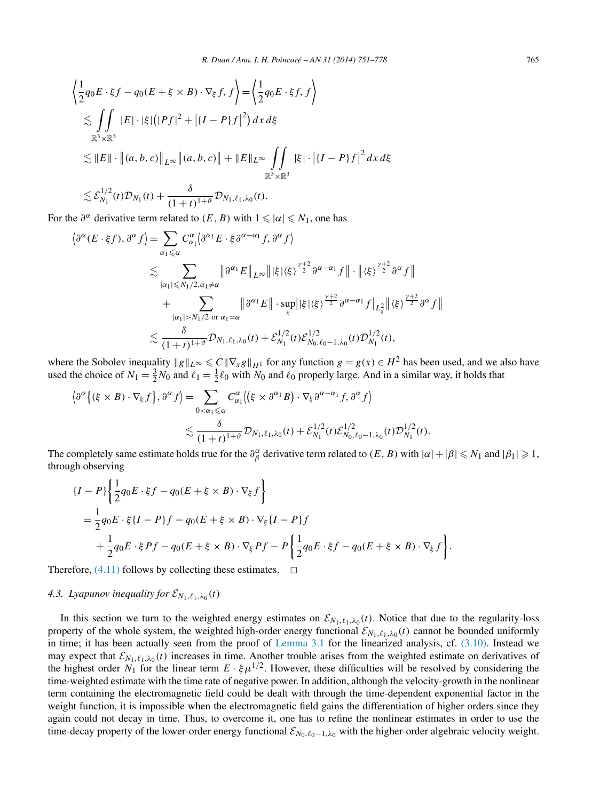$$
\left\langle \frac{1}{2}q_0E \cdot \xi f - q_0(E + \xi \times B) \cdot \nabla_{\xi} f, f \right\rangle = \left\langle \frac{1}{2}q_0E \cdot \xi f, f \right\rangle
$$
  
\n
$$
\lesssim \iint_{\mathbb{R}^3 \times \mathbb{R}^3} |E| \cdot |\xi| (|Pf|^2 + |{I - P}f|^2) dx d\xi
$$
  
\n
$$
\lesssim ||E|| \cdot ||(a, b, c)||_{L^{\infty}} ||(a, b, c)|| + ||E||_{L^{\infty}} \iint_{\mathbb{R}^3 \times \mathbb{R}^3} |\xi| \cdot |{I - P}f|^2 dx d\xi
$$
  
\n
$$
\lesssim \mathcal{E}_{N_1}^{1/2}(t) \mathcal{D}_{N_1}(t) + \frac{\delta}{(1 + t)^{1 + \vartheta}} \mathcal{D}_{N_1, \ell_1, \lambda_0}(t).
$$

For the  $\partial^{\alpha}$  derivative term related to  $(E, B)$  with  $1 \leq \alpha \leq N_1$ , one has

$$
\langle \partial^{\alpha} (E \cdot \xi f), \partial^{\alpha} f \rangle = \sum_{\alpha_1 \leq \alpha} C^{\alpha}_{\alpha_1} \langle \partial^{\alpha_1} E \cdot \xi \partial^{\alpha - \alpha_1} f, \partial^{\alpha} f \rangle
$$
  

$$
\lesssim \sum_{|\alpha_1| \leq N_1/2, \alpha_1 \neq \alpha} \|\partial^{\alpha_1} E\|_{L^{\infty}} \| |\xi| \langle \xi \rangle^{\frac{\gamma+2}{2}} \partial^{\alpha - \alpha_1} f \| \cdot \| \langle \xi \rangle^{\frac{\gamma+2}{2}} \partial^{\alpha} f \|
$$
  
+ 
$$
\sum_{|\alpha_1| > N_1/2 \text{ or } \alpha_1 = \alpha} \|\partial^{\alpha_1} E\| \cdot \sup_x ||\xi| \langle \xi \rangle^{\frac{\gamma+2}{2}} \partial^{\alpha - \alpha_1} f|_{L^2_{\xi}} \| \langle \xi \rangle^{\frac{\gamma+2}{2}} \partial^{\alpha} f \|
$$
  

$$
\lesssim \frac{\delta}{(1+t)^{1+\vartheta}} \mathcal{D}_{N_1, \ell_1, \lambda_0}(t) + \mathcal{E}_{N_1}^{1/2}(t) \mathcal{E}_{N_0, \ell_0 - 1, \lambda_0}^{1/2}(t) \mathcal{D}_{N_1}^{1/2}(t),
$$

where the Sobolev inequality  $\|g\|_{L^{\infty}} \leq C \|\nabla_x g\|_{H^1}$  for any function  $g = g(x) \in H^2$  has been used, and we also have used the choice of  $N_1 = \frac{3}{2}N_0$  and  $\ell_1 = \frac{1}{2}\ell_0$  with  $N_0$  and  $\ell_0$  properly large. And in a similar way, it holds that

$$
\langle \partial^{\alpha} \{ (\xi \times B) \cdot \nabla_{\xi} f \}, \partial^{\alpha} f \rangle = \sum_{0 < \alpha_1 \leq \alpha} C^{\alpha}_{\alpha_1} \langle (\xi \times \partial^{\alpha_1} B) \cdot \nabla_{\xi} \partial^{\alpha - \alpha_1} f, \partial^{\alpha} f \rangle
$$
\n
$$
\lesssim \frac{\delta}{(1+t)^{1+\vartheta}} \mathcal{D}_{N_1, \ell_1, \lambda_0}(t) + \mathcal{E}_{N_1}^{1/2}(t) \mathcal{E}_{N_0, \ell_0 - 1, \lambda_0}^{1/2}(t) \mathcal{D}_{N_1}^{1/2}(t).
$$

The completely same estimate holds true for the  $\partial_{\beta}^{\alpha}$  derivative term related to  $(E, B)$  with  $|\alpha| + |\beta| \le N_1$  and  $|\beta_1| \ge 1$ , through observing

$$
\{I - P\} \left\{ \frac{1}{2} q_0 E \cdot \xi f - q_0 (E + \xi \times B) \cdot \nabla_{\xi} f \right\}
$$
  
=  $\frac{1}{2} q_0 E \cdot \xi \{I - P\} f - q_0 (E + \xi \times B) \cdot \nabla_{\xi} \{I - P\} f$   
+  $\frac{1}{2} q_0 E \cdot \xi P f - q_0 (E + \xi \times B) \cdot \nabla_{\xi} P f - P \left\{ \frac{1}{2} q_0 E \cdot \xi f - q_0 (E + \xi \times B) \cdot \nabla_{\xi} f \right\}.$ 

Therefore,  $(4.11)$  follows by collecting these estimates.  $\Box$ 

# *4.3. Lyapunov inequality for*  $\mathcal{E}_{N_1,\ell_1,\lambda_0}(t)$

In this section we turn to the weighted energy estimates on  $\mathcal{E}_{N_1,\ell_1,\lambda_0}(t)$ . Notice that due to the regularity-loss property of the whole system, the weighted high-order energy functional  $\mathcal{E}_{N_1,\ell_1,\lambda_0}(t)$  cannot be bounded uniformly in time; it has been actually seen from the proof of [Lemma 3.1](#page-8-0) for the linearized analysis, cf. [\(3.10\).](#page-10-0) Instead we may expect that  $\mathcal{E}_{N_1,\ell_1,\lambda_0}(t)$  increases in time. Another trouble arises from the weighted estimate on derivatives of the highest order  $N_1$  for the linear term  $E \cdot \xi \mu^{1/2}$ . However, these difficulties will be resolved by considering the time-weighted estimate with the time rate of negative power. In addition, although the velocity-growth in the nonlinear term containing the electromagnetic field could be dealt with through the time-dependent exponential factor in the weight function, it is impossible when the electromagnetic field gains the differentiation of higher orders since they again could not decay in time. Thus, to overcome it, one has to refine the nonlinear estimates in order to use the time-decay property of the lower-order energy functional  $\mathcal{E}_{N_0,\ell_0-1,\lambda_0}$  with the higher-order algebraic velocity weight.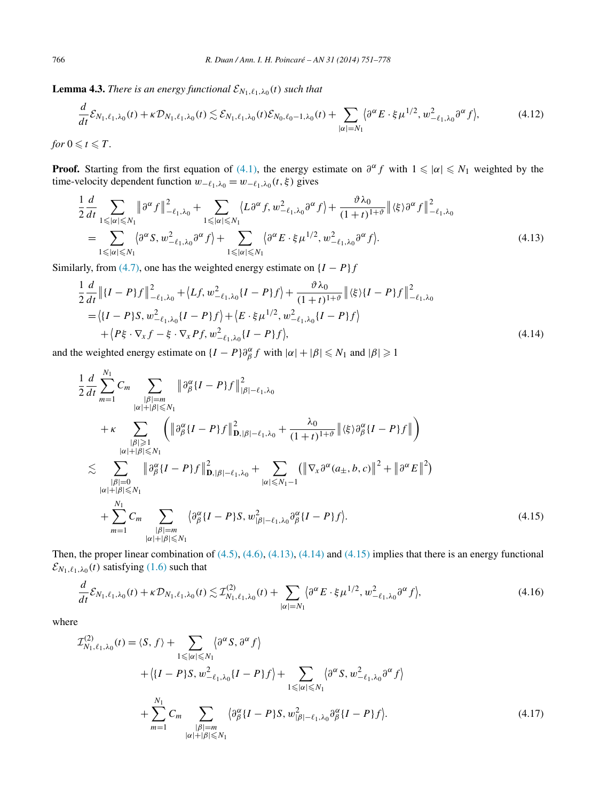<span id="page-15-0"></span>**Lemma 4.3.** *There is an energy functional*  $\mathcal{E}_{N_1,\ell_1,\lambda_0}(t)$  *such that* 

$$
\frac{d}{dt}\mathcal{E}_{N_1,\ell_1,\lambda_0}(t) + \kappa \mathcal{D}_{N_1,\ell_1,\lambda_0}(t) \lesssim \mathcal{E}_{N_1,\ell_1,\lambda_0}(t)\mathcal{E}_{N_0,\ell_0-1,\lambda_0}(t) + \sum_{|\alpha|=N_1} \langle \partial^{\alpha} E \cdot \xi \mu^{1/2}, w_{-\ell_1,\lambda_0}^2 \partial^{\alpha} f \rangle, \tag{4.12}
$$

*for*  $0 \le t \le T$ *.* 

**Proof.** Starting from the first equation of [\(4.1\),](#page-11-0) the energy estimate on  $\partial^{\alpha} f$  with  $1 \leq |\alpha| \leq N_1$  weighted by the time-velocity dependent function  $w_{-\ell_1,\lambda_0} = w_{-\ell_1,\lambda_0}(t,\xi)$  gives

$$
\frac{1}{2}\frac{d}{dt}\sum_{1\leqslant|\alpha|\leqslant N_{1}}\|\partial^{\alpha}f\|_{-\ell_{1},\lambda_{0}}^{2}+\sum_{1\leqslant|\alpha|\leqslant N_{1}}\langle L\partial^{\alpha}f,w_{-\ell_{1},\lambda_{0}}^{2}\partial^{\alpha}f\rangle+\frac{\vartheta\lambda_{0}}{(1+t)^{1+\vartheta}}\|\langle\xi\rangle\partial^{\alpha}f\|_{-\ell_{1},\lambda_{0}}^{2}
$$
\n
$$
=\sum_{1\leqslant|\alpha|\leqslant N_{1}}\langle\partial^{\alpha}S,w_{-\ell_{1},\lambda_{0}}^{2}\partial^{\alpha}f\rangle+\sum_{1\leqslant|\alpha|\leqslant N_{1}}\langle\partial^{\alpha}E\cdot\xi\mu^{1/2},w_{-\ell_{1},\lambda_{0}}^{2}\partial^{\alpha}f\rangle. \tag{4.13}
$$

Similarly, from [\(4.7\),](#page-12-0) one has the weighted energy estimate on  ${I - P}f$ 

$$
\frac{1}{2}\frac{d}{dt}\left\|\{I-P\}f\right\|_{-\ell_1,\lambda_0}^2 + \langle Lf, w_{-\ell_1,\lambda_0}^2\{I-P\}f\rangle + \frac{\vartheta\lambda_0}{(1+t)^{1+\vartheta}}\|\langle\xi\rangle\{I-P\}f\right\|_{-\ell_1,\lambda_0}^2
$$
\n
$$
= \langle\{I-P\}S, w_{-\ell_1,\lambda_0}^2\{I-P\}f\rangle + \langle E \cdot \xi \mu^{1/2}, w_{-\ell_1,\lambda_0}^2\{I-P\}f\rangle
$$
\n
$$
+ \langle P\xi \cdot \nabla_x f - \xi \cdot \nabla_x P f, w_{-\ell_1,\lambda_0}^2\{I-P\}f\rangle, \tag{4.14}
$$

and the weighted energy estimate on  $\{I - P\}\partial_{\beta}^{\alpha} f$  with  $|\alpha| + |\beta| \le N_1$  and  $|\beta| \ge 1$ 

$$
\frac{1}{2}\frac{d}{dt}\sum_{m=1}^{N_{1}}C_{m}\sum_{\substack{|\beta|=m\\|\alpha|+|\beta|\leq N_{1}\\|\alpha|+|\beta|\leq N_{1}\\|\beta| \geq 1}}\left\|\partial_{\beta}^{\alpha}\{I-P\}f\right\|_{D,|\beta|-\ell_{1},\lambda_{0}}^{2} + \frac{\lambda_{0}}{(1+t)^{1+\vartheta}}\left\|\langle\xi\rangle\partial_{\beta}^{\alpha}\{I-P\}f\right\|\right) \n&\leq \sum_{\substack{|\beta|=0\\|\alpha|+|\beta|\leq N_{1}\\|\alpha|+|\beta|\leq N_{1}}} \left\|\partial_{\beta}^{\alpha}\{I-P\}f\right\|_{D,|\beta|-\ell_{1},\lambda_{0}}^{2} + \sum_{|\alpha|\leq N_{1}-1} \left(\left\|\nabla_{x}\partial^{\alpha}(a_{\pm},b,c)\right\|^{2} + \left\|\partial^{\alpha}E\right\|^{2}\right) \n+ \sum_{m=1}^{N_{1}}C_{m}\sum_{\substack{|\beta|=m\\|\alpha|+|\beta|\leq N_{1}}} \left\{\partial_{\beta}^{\alpha}\{I-P\}S, w_{|\beta|-\ell_{1},\lambda_{0}}^{2}\partial_{\beta}^{\alpha}\{I-P\}f\right\}.
$$
\n(4.15)

Then, the proper linear combination of [\(4.5\),](#page-12-0) [\(4.6\),](#page-12-0) (4.13), (4.14) and (4.15) implies that there is an energy functional  $\mathcal{E}_{N_1,\ell_1,\lambda_0}(t)$  satisfying [\(1.6\)](#page-3-0) such that

$$
\frac{d}{dt}\mathcal{E}_{N_1,\ell_1,\lambda_0}(t) + \kappa \mathcal{D}_{N_1,\ell_1,\lambda_0}(t) \lesssim \mathcal{I}_{N_1,\ell_1,\lambda_0}^{(2)}(t) + \sum_{|\alpha|=N_1} \langle \partial^{\alpha} E \cdot \xi \mu^{1/2}, w_{-\ell_1,\lambda_0}^2 \partial^{\alpha} f \rangle, \tag{4.16}
$$

where

$$
\mathcal{I}_{N_1,\ell_1,\lambda_0}^{(2)}(t) = \langle S, f \rangle + \sum_{1 \leq |\alpha| \leq N_1} \langle \partial^{\alpha} S, \partial^{\alpha} f \rangle
$$
  
+ 
$$
\langle \{I - P\} S, w_{-\ell_1,\lambda_0}^2 \{I - P\} f \rangle + \sum_{1 \leq |\alpha| \leq N_1} \langle \partial^{\alpha} S, w_{-\ell_1,\lambda_0}^2 \partial^{\alpha} f \rangle
$$
  
+ 
$$
\sum_{m=1}^{N_1} C_m \sum_{\substack{|\beta|=m\\ |\alpha|+|\beta| \leq N_1}} \langle \partial^{\alpha}_{\beta} \{I - P\} S, w_{|\beta|-\ell_1,\lambda_0}^2 \partial^{\alpha}_{\beta} \{I - P\} f \rangle.
$$
 (4.17)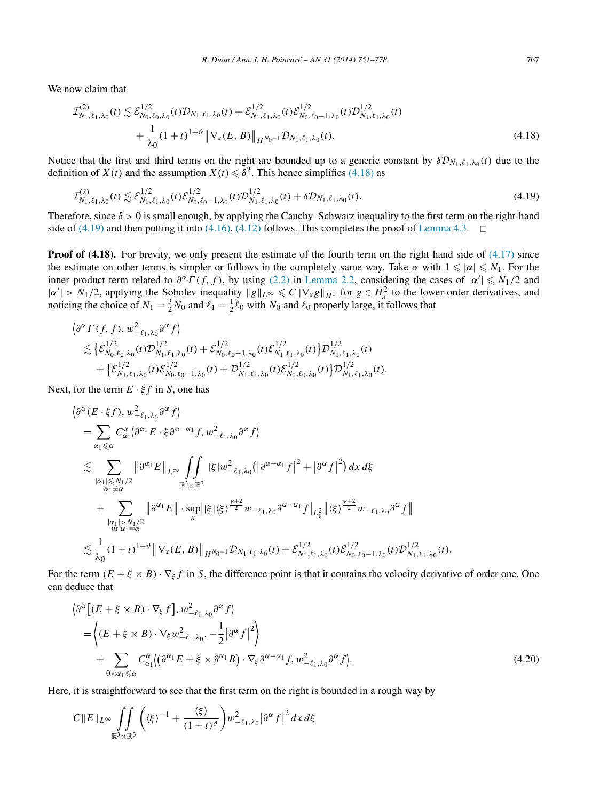<span id="page-16-0"></span>We now claim that

$$
\mathcal{I}_{N_1,\ell_1,\lambda_0}^{(2)}(t) \lesssim \mathcal{E}_{N_0,\ell_0,\lambda_0}^{1/2}(t) \mathcal{D}_{N_1,\ell_1,\lambda_0}(t) + \mathcal{E}_{N_1,\ell_1,\lambda_0}^{1/2}(t) \mathcal{E}_{N_0,\ell_0-1,\lambda_0}^{1/2}(t) \mathcal{D}_{N_1,\ell_1,\lambda_0}^{1/2}(t) \n+ \frac{1}{\lambda_0} (1+t)^{1+\vartheta} \|\nabla_x(E,B)\|_{H^{N_0-1}} \mathcal{D}_{N_1,\ell_1,\lambda_0}(t).
$$
\n(4.18)

Notice that the first and third terms on the right are bounded up to a generic constant by  $\delta \mathcal{D}_{N_1,\ell_1,\lambda_0}(t)$  due to the definition of *X(t)* and the assumption  $X(t) \leq \delta^2$ . This hence simplifies (4.18) as

$$
\mathcal{I}_{N_1,\ell_1,\lambda_0}^{(2)}(t) \lesssim \mathcal{E}_{N_1,\ell_1,\lambda_0}^{1/2}(t)\mathcal{E}_{N_0,\ell_0-1,\lambda_0}^{1/2}(t)\mathcal{D}_{N_1,\ell_1,\lambda_0}^{1/2}(t) + \delta \mathcal{D}_{N_1,\ell_1,\lambda_0}(t). \tag{4.19}
$$

Therefore, since *δ >* 0 is small enough, by applying the Cauchy–Schwarz inequality to the first term on the right-hand side of (4.19) and then putting it into [\(4.16\),](#page-15-0) [\(4.12\)](#page-15-0) follows. This completes the proof of [Lemma 4.3.](#page-15-0)  $\Box$ 

**Proof of (4.18).** For brevity, we only present the estimate of the fourth term on the right-hand side of [\(4.17\)](#page-15-0) since the estimate on other terms is simpler or follows in the completely same way. Take  $\alpha$  with  $1 \leq \alpha \leq N_1$ . For the inner product term related to  $\partial^{\alpha} \Gamma(f, f)$ , by using [\(2.2\)](#page-8-0) in [Lemma 2.2,](#page-8-0) considering the cases of  $|\alpha'| \le N_1/2$  and  $|\alpha'| > N_1/2$ , applying the Sobolev inequality  $||g||_{L^\infty} \leq C ||\nabla_x g||_{H^1}$  for  $g \in H^2$  to the lower-order derivatives, and noticing the choice of  $N_1 = \frac{3}{2}N_0$  and  $\ell_1 = \frac{1}{2}\ell_0$  with  $N_0$  and  $\ell_0$  properly large, it follows that

$$
\langle \partial^{\alpha} \Gamma(f,f), w_{-\ell_1,\lambda_0}^2 \partial^{\alpha} f \rangle \n\lesssim \left\{ \mathcal{E}_{N_0,\ell_0,\lambda_0}^{1/2}(t) \mathcal{D}_{N_1,\ell_1,\lambda_0}^{1/2}(t) + \mathcal{E}_{N_0,\ell_0-1,\lambda_0}^{1/2}(t) \mathcal{E}_{N_1,\ell_1,\lambda_0}^{1/2}(t) \right\} \mathcal{D}_{N_1,\ell_1,\lambda_0}^{1/2}(t) \n+ \left\{ \mathcal{E}_{N_1,\ell_1,\lambda_0}^{1/2}(t) \mathcal{E}_{N_0,\ell_0-1,\lambda_0}^{1/2}(t) + \mathcal{D}_{N_1,\ell_1,\lambda_0}^{1/2}(t) \mathcal{E}_{N_0,\ell_0,\lambda_0}^{1/2}(t) \right\} \mathcal{D}_{N_1,\ell_1,\lambda_0}^{1/2}(t).
$$

Next, for the term  $E \cdot \xi f$  in *S*, one has

$$
\langle \partial^{\alpha} (E \cdot \xi f), w_{-\ell_1, \lambda_0}^2 \partial^{\alpha} f \rangle
$$
\n
$$
= \sum_{\alpha_1 \leq \alpha} C_{\alpha_1}^{\alpha} \langle \partial^{\alpha_1} E \cdot \xi \partial^{\alpha - \alpha_1} f, w_{-\ell_1, \lambda_0}^2 \partial^{\alpha} f \rangle
$$
\n
$$
\lesssim \sum_{\substack{|\alpha_1| \leq N_1/2 \\ \alpha_1 \neq \alpha}} \|\partial^{\alpha_1} E\|_{L^{\infty}} \iint_{\mathbb{R}^3 \times \mathbb{R}^3} |\xi| w_{-\ell_1, \lambda_0}^2 (\left|\partial^{\alpha - \alpha_1} f\right|^2 + \left|\partial^{\alpha} f\right|^2) dx d\xi
$$
\n
$$
+ \sum_{\substack{|\alpha_1| > N_1/2 \\ \alpha_1 \neq \alpha}} \|\partial^{\alpha_1} E\| \cdot \sup_{x} \|\xi| \langle \xi \rangle^{\frac{\gamma + 2}{2}} w_{-\ell_1, \lambda_0} \partial^{\alpha - \alpha_1} f \big|_{L^2_{\xi}} \|\langle \xi \rangle^{\frac{\gamma + 2}{2}} w_{-\ell_1, \lambda_0} \partial^{\alpha} f \big|
$$
\n
$$
\lesssim \frac{1}{\lambda_0} (1+t)^{1+\vartheta} \|\nabla_x (E, B) \|_{H^{N_0 - 1}} \mathcal{D}_{N_1, \ell_1, \lambda_0}(t) + \mathcal{E}_{N_1, \ell_1, \lambda_0}^{1/2}(t) \mathcal{E}_{N_0, \ell_0 - 1, \lambda_0}^{1/2}(t) \mathcal{D}_{N_1, \ell_1, \lambda_0}^{1/2}(t).
$$

For the term  $(E + \xi \times B) \cdot \nabla_k f$  in *S*, the difference point is that it contains the velocity derivative of order one. One can deduce that

$$
\langle \partial^{\alpha} \left[ (E + \xi \times B) \cdot \nabla_{\xi} f \right], w_{-\ell_1, \lambda_0}^2 \partial^{\alpha} f \rangle
$$
  
=  $\langle (E + \xi \times B) \cdot \nabla_{\xi} w_{-\ell_1, \lambda_0}^2, -\frac{1}{2} |\partial^{\alpha} f|^2 \rangle$   
+  $\sum_{0 < \alpha_1 \leq \alpha} C_{\alpha_1}^{\alpha} \langle (\partial^{\alpha_1} E + \xi \times \partial^{\alpha_1} B) \cdot \nabla_{\xi} \partial^{\alpha - \alpha_1} f, w_{-\ell_1, \lambda_0}^2 \partial^{\alpha} f \rangle.$  (4.20)

Here, it is straightforward to see that the first term on the right is bounded in a rough way by

$$
C||E||_{L^{\infty}}\iint\limits_{\mathbb{R}^{3}\times\mathbb{R}^{3}}\left(\langle\xi\rangle^{-1}+\frac{\langle\xi\rangle}{(1+t)^{\vartheta}}\right)w_{-\ell_{1},\lambda_{0}}^{2}|\partial^{\alpha}f|^{2}dx\,d\xi
$$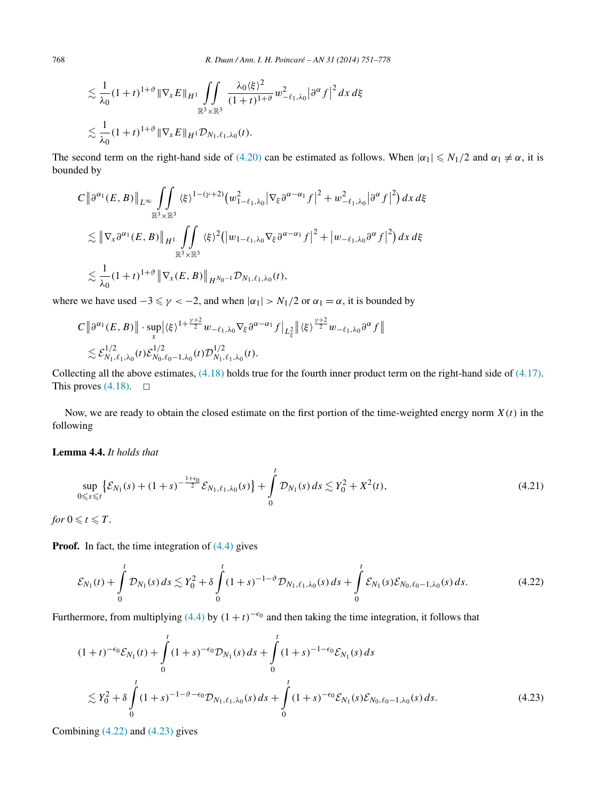<span id="page-17-0"></span>
$$
\lesssim \frac{1}{\lambda_0} (1+t)^{1+\vartheta} \|\nabla_x E\|_{H^1} \iint\limits_{\mathbb{R}^3 \times \mathbb{R}^3} \frac{\lambda_0 \langle \xi \rangle^2}{(1+t)^{1+\vartheta}} w_{-\ell_1,\lambda_0}^2 |\partial^\alpha f|^2 dx d\xi
$$
  

$$
\lesssim \frac{1}{\lambda_0} (1+t)^{1+\vartheta} \|\nabla_x E\|_{H^1} \mathcal{D}_{N_1,\ell_1,\lambda_0}(t).
$$

The second term on the right-hand side of [\(4.20\)](#page-16-0) can be estimated as follows. When  $|a_1| \le N_1/2$  and  $a_1 \ne \alpha$ , it is bounded by

$$
C \left\| \partial^{\alpha_1}(E, B) \right\|_{L^{\infty}} \iint\limits_{\mathbb{R}^3 \times \mathbb{R}^3} \langle \xi \rangle^{1 - (\gamma + 2)} \big( w_{1 - \ell_1, \lambda_0}^2 |\nabla_{\xi} \partial^{\alpha - \alpha_1} f|^2 + w_{-\ell_1, \lambda_0}^2 |\partial^{\alpha} f|^2 \big) dx d\xi
$$
  
\$\lesssim \left\| \nabla\_x \partial^{\alpha\_1}(E, B) \right\|\_{H^1} \iint\limits\_{\mathbb{R}^3 \times \mathbb{R}^3} \langle \xi \rangle^2 \big( |w\_{1 - \ell\_1, \lambda\_0} \nabla\_{\xi} \partial^{\alpha - \alpha\_1} f|^2 + |w\_{-\ell\_1, \lambda\_0} \partial^{\alpha} f|^2 \big) dx d\xi\$  
\$\lesssim \frac{1}{\lambda\_0} (1 + t)^{1 + \vartheta} \left\| \nabla\_x(E, B) \right\|\_{H^{N\_0 - 1}} \mathcal{D}\_{N\_1, \ell\_1, \lambda\_0}(t),

where we have used  $-3 \le \gamma < -2$ , and when  $|\alpha_1| > N_1/2$  or  $\alpha_1 = \alpha$ , it is bounded by

$$
C \left\|\partial^{\alpha_1}(E,B)\right\| \cdot \sup_x |\langle \xi \rangle^{1+\frac{\gamma+2}{2}} w_{-\ell_1,\lambda_0} \nabla_{\xi} \partial^{\alpha-\alpha_1} f\big|_{L^2_{\xi}} \left\| \langle \xi \rangle^{\frac{\gamma+2}{2}} w_{-\ell_1,\lambda_0} \partial^{\alpha} f\right\|
$$
  

$$
\lesssim \mathcal{E}_{N_1,\ell_1,\lambda_0}^{1/2}(t) \mathcal{E}_{N_0,\ell_0-1,\lambda_0}^{1/2}(t) \mathcal{D}_{N_1,\ell_1,\lambda_0}^{1/2}(t).
$$

Collecting all the above estimates, [\(4.18\)](#page-16-0) holds true for the fourth inner product term on the right-hand side of [\(4.17\).](#page-15-0) This proves  $(4.18)$ .  $\Box$ 

Now, we are ready to obtain the closed estimate on the first portion of the time-weighted energy norm  $X(t)$  in the following

# **Lemma 4.4.** *It holds that*

$$
\sup_{0 \leq s \leq t} \left\{ \mathcal{E}_{N_1}(s) + (1+s)^{-\frac{1+\epsilon_0}{2}} \mathcal{E}_{N_1, \ell_1, \lambda_0}(s) \right\} + \int_0^t \mathcal{D}_{N_1}(s) \, ds \lesssim Y_0^2 + X^2(t),\tag{4.21}
$$

*for*  $0 \le t \le T$ *.* 

**Proof.** In fact, the time integration of  $(4.4)$  gives

$$
\mathcal{E}_{N_1}(t) + \int_0^t \mathcal{D}_{N_1}(s) \, ds \lesssim Y_0^2 + \delta \int_0^t (1+s)^{-1-\vartheta} \mathcal{D}_{N_1,\ell_1,\lambda_0}(s) \, ds + \int_0^t \mathcal{E}_{N_1}(s) \mathcal{E}_{N_0,\ell_0-1,\lambda_0}(s) \, ds. \tag{4.22}
$$

Furthermore, from multiplying [\(4.4\)](#page-12-0) by  $(1 + t)^{-\epsilon_0}$  and then taking the time integration, it follows that

$$
(1+t)^{-\epsilon_0} \mathcal{E}_{N_1}(t) + \int_0^t (1+s)^{-\epsilon_0} \mathcal{D}_{N_1}(s) ds + \int_0^t (1+s)^{-1-\epsilon_0} \mathcal{E}_{N_1}(s) ds
$$
  

$$
\lesssim Y_0^2 + \delta \int_0^t (1+s)^{-1-\vartheta-\epsilon_0} \mathcal{D}_{N_1,\ell_1,\lambda_0}(s) ds + \int_0^t (1+s)^{-\epsilon_0} \mathcal{E}_{N_1}(s) \mathcal{E}_{N_0,\ell_0-1,\lambda_0}(s) ds.
$$
 (4.23)

Combining (4.22) and (4.23) gives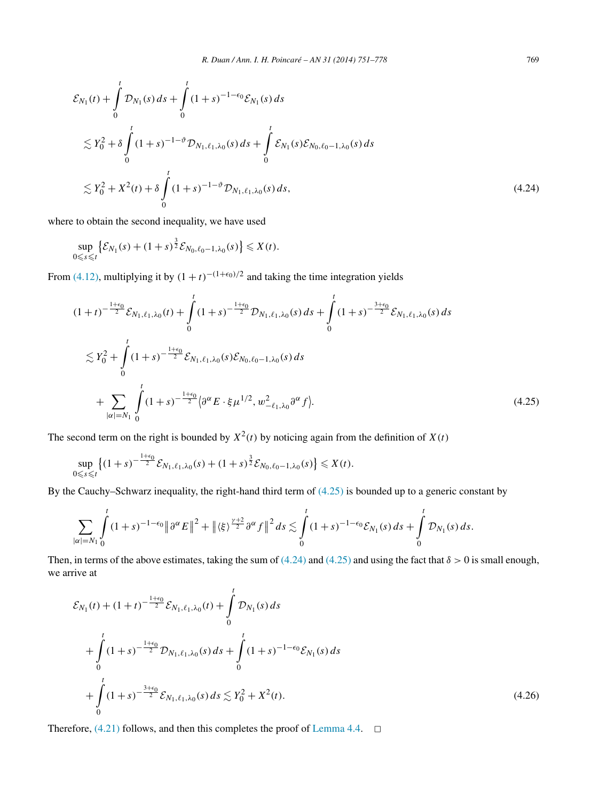<span id="page-18-0"></span>
$$
\mathcal{E}_{N_1}(t) + \int_0^t \mathcal{D}_{N_1}(s) ds + \int_0^t (1+s)^{-1-\epsilon_0} \mathcal{E}_{N_1}(s) ds
$$
  
\n
$$
\lesssim Y_0^2 + \delta \int_0^t (1+s)^{-1-\vartheta} \mathcal{D}_{N_1,\ell_1,\lambda_0}(s) ds + \int_0^t \mathcal{E}_{N_1}(s) \mathcal{E}_{N_0,\ell_0-1,\lambda_0}(s) ds
$$
  
\n
$$
\lesssim Y_0^2 + X^2(t) + \delta \int_0^t (1+s)^{-1-\vartheta} \mathcal{D}_{N_1,\ell_1,\lambda_0}(s) ds,
$$
\n(4.24)

where to obtain the second inequality, we have used

$$
\sup_{0 \leq s \leq t} \left\{ \mathcal{E}_{N_1}(s) + (1+s)^{\frac{3}{2}} \mathcal{E}_{N_0, \ell_0 - 1, \lambda_0}(s) \right\} \leq X(t).
$$

From [\(4.12\),](#page-15-0) multiplying it by  $(1 + t)^{-(1+\epsilon_0)/2}$  and taking the time integration yields

$$
(1+t)^{-\frac{1+\epsilon_{0}}{2}}\mathcal{E}_{N_{1},\ell_{1},\lambda_{0}}(t)+\int_{0}^{t}(1+s)^{-\frac{1+\epsilon_{0}}{2}}\mathcal{D}_{N_{1},\ell_{1},\lambda_{0}}(s) ds+\int_{0}^{t}(1+s)^{-\frac{3+\epsilon_{0}}{2}}\mathcal{E}_{N_{1},\ell_{1},\lambda_{0}}(s) ds
$$
  

$$
\lesssim Y_{0}^{2}+\int_{0}^{t}(1+s)^{-\frac{1+\epsilon_{0}}{2}}\mathcal{E}_{N_{1},\ell_{1},\lambda_{0}}(s)\mathcal{E}_{N_{0},\ell_{0}-1,\lambda_{0}}(s) ds
$$
  

$$
+\sum_{|\alpha|=N_{1}}\int_{0}^{t}(1+s)^{-\frac{1+\epsilon_{0}}{2}}\langle \partial^{\alpha}E\cdot\xi\mu^{1/2},w_{-\ell_{1},\lambda_{0}}^{2}\partial^{\alpha}f\rangle.
$$
 (4.25)

The second term on the right is bounded by  $X^2(t)$  by noticing again from the definition of  $X(t)$ 

$$
\sup_{0\leq s\leq t}\left\{(1+s)^{-\frac{1+\epsilon_0}{2}}\mathcal{E}_{N_1,\ell_1,\lambda_0}(s)+(1+s)^{\frac{3}{2}}\mathcal{E}_{N_0,\ell_0-1,\lambda_0}(s)\right\}\leqslant X(t).
$$

By the Cauchy–Schwarz inequality, the right-hand third term of (4.25) is bounded up to a generic constant by

$$
\sum_{|\alpha|=N_1}\int_{0}^{t}(1+s)^{-1-\epsilon_0}\|\partial^{\alpha}E\|^2+\|\langle\xi\rangle^{\frac{\gamma+2}{2}}\partial^{\alpha}f\|^2 ds\lesssim \int_{0}^{t}(1+s)^{-1-\epsilon_0}\mathcal{E}_{N_1}(s)\,ds+\int_{0}^{t}\mathcal{D}_{N_1}(s)\,ds.
$$

Then, in terms of the above estimates, taking the sum of  $(4.24)$  and  $(4.25)$  and using the fact that  $\delta > 0$  is small enough, we arrive at

$$
\mathcal{E}_{N_1}(t) + (1+t)^{-\frac{1+\epsilon_0}{2}} \mathcal{E}_{N_1,\ell_1,\lambda_0}(t) + \int_0^t \mathcal{D}_{N_1}(s) ds \n+ \int_0^t (1+s)^{-\frac{1+\epsilon_0}{2}} \mathcal{D}_{N_1,\ell_1,\lambda_0}(s) ds + \int_0^t (1+s)^{-1-\epsilon_0} \mathcal{E}_{N_1}(s) ds \n+ \int_0^t (1+s)^{-\frac{3+\epsilon_0}{2}} \mathcal{E}_{N_1,\ell_1,\lambda_0}(s) ds \lesssim Y_0^2 + X^2(t).
$$
\n(4.26)

Therefore,  $(4.21)$  follows, and then this completes the proof of [Lemma 4.4.](#page-17-0)  $\Box$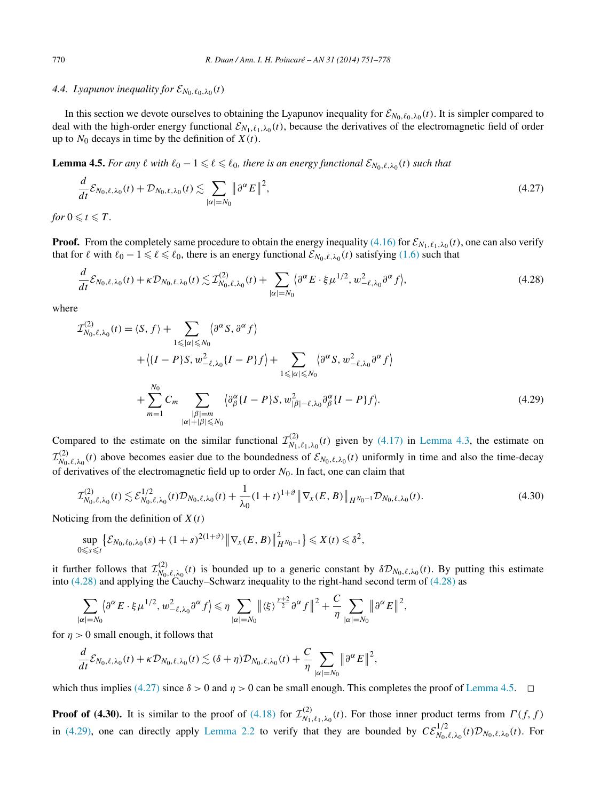### <span id="page-19-0"></span>*4.4. Lyapunov inequality for*  $\mathcal{E}_{N_0, \ell_0, \lambda_0}(t)$

In this section we devote ourselves to obtaining the Lyapunov inequality for  $\mathcal{E}_{N_0,\ell_0,\lambda_0}(t)$ . It is simpler compared to deal with the high-order energy functional  $\mathcal{E}_{N_1,\ell_1,\lambda_0}(t)$ , because the derivatives of the electromagnetic field of order up to  $N_0$  decays in time by the definition of  $X(t)$ .

**Lemma 4.5.** For any  $\ell$  with  $\ell_0 - 1 \leq \ell \leq \ell_0$ , there is an energy functional  $\mathcal{E}_{N_0,\ell,\lambda_0}(t)$  such that

$$
\frac{d}{dt}\mathcal{E}_{N_0,\ell,\lambda_0}(t) + \mathcal{D}_{N_0,\ell,\lambda_0}(t) \lesssim \sum_{|\alpha|=N_0} \|\partial^{\alpha}E\|^2,
$$
\n(4.27)

*for*  $0 \le t \le T$ *.* 

**Proof.** From the completely same procedure to obtain the energy inequality [\(4.16\)](#page-15-0) for  $\mathcal{E}_{N_1,\ell_1,\lambda_0}(t)$ , one can also verify that for  $\ell$  with  $\ell_0 - 1 \leq \ell \leq \ell_0$ , there is an energy functional  $\mathcal{E}_{N_0,\ell,\lambda_0}(t)$  satisfying [\(1.6\)](#page-3-0) such that

$$
\frac{d}{dt}\mathcal{E}_{N_0,\ell,\lambda_0}(t) + \kappa \mathcal{D}_{N_0,\ell,\lambda_0}(t) \lesssim \mathcal{I}_{N_0,\ell,\lambda_0}^{(2)}(t) + \sum_{|\alpha|=N_0} \langle \partial^{\alpha} E \cdot \xi \mu^{1/2}, w_{-\ell,\lambda_0}^2 \partial^{\alpha} f \rangle, \tag{4.28}
$$

where

$$
\mathcal{I}_{N_0,\ell,\lambda_0}^{(2)}(t) = \langle S, f \rangle + \sum_{1 \leq |\alpha| \leq N_0} \langle \partial^{\alpha} S, \partial^{\alpha} f \rangle
$$
  
+  $\langle \{I - P\}S, w_{-\ell,\lambda_0}^2 \{I - P\} f \rangle + \sum_{1 \leq |\alpha| \leq N_0} \langle \partial^{\alpha} S, w_{-\ell,\lambda_0}^2 \partial^{\alpha} f \rangle$   
+  $\sum_{m=1}^{N_0} C_m \sum_{\substack{|\beta|=m\\ |\alpha|+|\beta| \leq N_0}} \langle \partial^{\alpha}_{\beta} \{I - P\} S, w_{|\beta|-\ell,\lambda_0}^2 \partial^{\alpha}_{\beta} \{I - P\} f \rangle.$  (4.29)

Compared to the estimate on the similar functional  $\mathcal{I}_{N_1,\ell_1,\lambda_0}^{(2)}(t)$  given by [\(4.17\)](#page-15-0) in [Lemma 4.3,](#page-15-0) the estimate on  $\mathcal{I}_{N_0,\ell,\lambda_0}^{(2)}(t)$  above becomes easier due to the boundedness of  $\mathcal{E}_{N_0,\ell,\lambda_0}(t)$  uniformly in time and also the time-decay of derivatives of the electromagnetic field up to order *N*0. In fact, one can claim that

$$
\mathcal{I}_{N_0,\ell,\lambda_0}^{(2)}(t) \lesssim \mathcal{E}_{N_0,\ell,\lambda_0}^{1/2}(t)\mathcal{D}_{N_0,\ell,\lambda_0}(t) + \frac{1}{\lambda_0}(1+t)^{1+\vartheta} \left\|\nabla_x(E,B)\right\|_{H^{N_0-1}} \mathcal{D}_{N_0,\ell,\lambda_0}(t). \tag{4.30}
$$

Noticing from the definition of *X(t)*

$$
\sup_{0\leq s\leq t} \left\{ \mathcal{E}_{N_0,\ell_0,\lambda_0}(s) + (1+s)^{2(1+\vartheta)} \left\| \nabla_x(E,B) \right\|_{H^{N_0-1}}^2 \right\} \leqslant X(t) \leqslant \delta^2,
$$

it further follows that  $\mathcal{I}_{N_0,\ell,\lambda_0}^{(2)}(t)$  is bounded up to a generic constant by  $\delta \mathcal{D}_{N_0,\ell,\lambda_0}(t)$ . By putting this estimate into (4.28) and applying the Cauchy–Schwarz inequality to the right-hand second term of (4.28) as

$$
\sum_{|\alpha|=N_0} \langle \partial^{\alpha} E \cdot \xi \mu^{1/2}, w_{-\ell, \lambda_0}^2 \partial^{\alpha} f \rangle \leq \eta \sum_{|\alpha|=N_0} \left\| \langle \xi \rangle^{\frac{\gamma+2}{2}} \partial^{\alpha} f \right\|^2 + \frac{C}{\eta} \sum_{|\alpha|=N_0} \left\| \partial^{\alpha} E \right\|^2,
$$

for  $n > 0$  small enough, it follows that

$$
\frac{d}{dt}\mathcal{E}_{N_0,\ell,\lambda_0}(t)+\kappa\mathcal{D}_{N_0,\ell,\lambda_0}(t)\lesssim (\delta+\eta)\mathcal{D}_{N_0,\ell,\lambda_0}(t)+\frac{C}{\eta}\sum_{|\alpha|=N_0}\left\|\partial^{\alpha}E\right\|^2,
$$

which thus implies (4.27) since  $\delta > 0$  and  $\eta > 0$  can be small enough. This completes the proof of Lemma 4.5.  $\Box$ 

**Proof of (4.30).** It is similar to the proof of [\(4.18\)](#page-16-0) for  $\mathcal{I}_{N_1,\ell_1,\lambda_0}^{(2)}(t)$ . For those inner product terms from  $\Gamma(f, f)$ in (4.29), one can directly apply [Lemma 2.2](#page-8-0) to verify that they are bounded by  $CE_{N_0,\ell,\lambda_0}^{1/2}(t)\mathcal{D}_{N_0,\ell,\lambda_0}(t)$ . For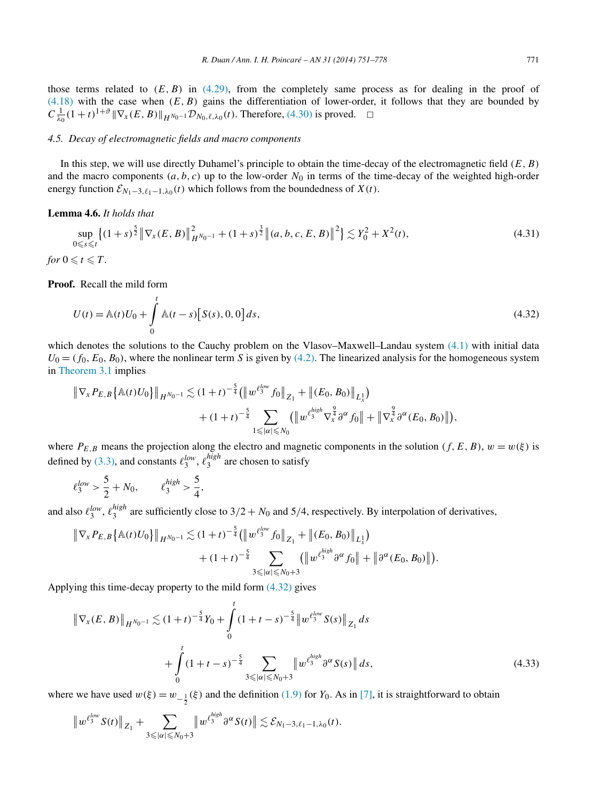<span id="page-20-0"></span>those terms related to  $(E, B)$  in  $(4.29)$ , from the completely same process as for dealing in the proof of [\(4.18\)](#page-16-0) with the case when *(E,B)* gains the differentiation of lower-order, it follows that they are bounded by  $C \frac{1}{\lambda_0} (1+t)^{1+\vartheta} \|\nabla_x (E, B) \|_{H^{N_0-1}} \mathcal{D}_{N_0, \ell, \lambda_0}(t)$ . Therefore, [\(4.30\)](#page-19-0) is proved.  $\Box$ 

# *4.5. Decay of electromagnetic fields and macro components*

In this step, we will use directly Duhamel's principle to obtain the time-decay of the electromagnetic field *(E,B)* and the macro components  $(a, b, c)$  up to the low-order  $N_0$  in terms of the time-decay of the weighted high-order energy function  $\mathcal{E}_{N_1-3,\ell_1-1,\lambda_0}(t)$  which follows from the boundedness of *X*(*t*).

### **Lemma 4.6.** *It holds that*

$$
\sup_{0 \le s \le t} \left\{ (1+s)^{\frac{5}{2}} \left\| \nabla_x (E, B) \right\|_{H^{N_0 - 1}}^2 + (1+s)^{\frac{3}{2}} \left\| (a, b, c, E, B) \right\|^2 \right\} \lesssim Y_0^2 + X^2(t),
$$
\n(4.31)  
for  $0 \le t \le T$ .

**Proof.** Recall the mild form

$$
U(t) = \mathbb{A}(t)U_0 + \int_0^t \mathbb{A}(t - s)[S(s), 0, 0] ds,
$$
\n(4.32)

which denotes the solutions to the Cauchy problem on the Vlasov–Maxwell–Landau system [\(4.1\)](#page-11-0) with initial data  $U_0 = (f_0, E_0, B_0)$ , where the nonlinear term *S* is given by [\(4.2\).](#page-11-0) The linearized analysis for the homogeneous system in [Theorem 3.1](#page-8-0) implies

$$
\|\nabla_{x} P_{E,B}\{\mathbb{A}(t)U_0\}\|_{H^{N_0-1}} \lesssim (1+t)^{-\frac{5}{4}} \big(\|w^{\ell_3^{\text{low}}} f_0\|_{Z_1} + \|(E_0, B_0)\|_{L^1_x}\big) + (1+t)^{-\frac{5}{4}} \sum_{1 \leq |\alpha| \leq N_0} \big(\|w^{\ell_3^{\text{high}}} \nabla_{x}^{\frac{9}{4}} \partial^{\alpha} f_0\| + \|\nabla_{x}^{\frac{9}{4}} \partial^{\alpha}(E_0, B_0)\|\big),
$$

where  $P_{E,B}$  means the projection along the electro and magnetic components in the solution  $(f, E, B)$ ,  $w = w(\xi)$  is defined by [\(3.3\),](#page-8-0) and constants  $\ell_3^{low}$ ,  $\ell_3^{high}$  are chosen to satisfy

$$
\ell_3^{low} > \frac{5}{2} + N_0, \qquad \ell_3^{high} > \frac{5}{4},
$$

and also  $\ell_3^{low}$ ,  $\ell_3^{high}$  are sufficiently close to 3/2 +  $N_0$  and 5/4, respectively. By interpolation of derivatives,

$$
\|\nabla_{x} P_{E,B}\{\mathbb{A}(t)U_{0}\}\|_{H^{N_{0}-1}} \lesssim (1+t)^{-\frac{5}{4}} \big(\|w^{\ell_{3}^{low}}f_{0}\|_{Z_{1}} + \|(E_{0}, B_{0})\|_{L^{1}_{x}}\big) + (1+t)^{-\frac{5}{4}} \sum_{3 \leq |\alpha| \leq N_{0}+3} (\|w^{\ell_{3}^{high}}\partial^{\alpha}f_{0}\| + \|\partial^{\alpha}(E_{0}, B_{0})\|).
$$

Applying this time-decay property to the mild form (4.32) gives

$$
\|\nabla_{x}(E,B)\|_{H^{N_{0}-1}} \lesssim (1+t)^{-\frac{5}{4}}Y_{0} + \int_{0}^{t} (1+t-s)^{-\frac{5}{4}}\|w^{\ell_{3}^{low}}S(s)\|_{Z_{1}}ds
$$
  
+ 
$$
\int_{0}^{t} (1+t-s)^{-\frac{5}{4}}\sum_{3\leq |\alpha|\leq N_{0}+3} \|w^{\ell_{3}^{high}}\partial^{\alpha}S(s)\| ds,
$$
 (4.33)

where we have used  $w(\xi) = w_{-\frac{1}{2}}(\xi)$  and the definition [\(1.9\)](#page-3-0) for *Y*<sub>0</sub>. As in [\[7\],](#page-26-0) it is straightforward to obtain

$$
\|w^{\ell_3^{low}} S(t)\|_{Z_1} + \sum_{3 \leq |\alpha| \leq N_0 + 3} \|w^{\ell_3^{high}} \partial^\alpha S(t)\| \lesssim \mathcal{E}_{N_1 - 3, \ell_1 - 1, \lambda_0}(t).
$$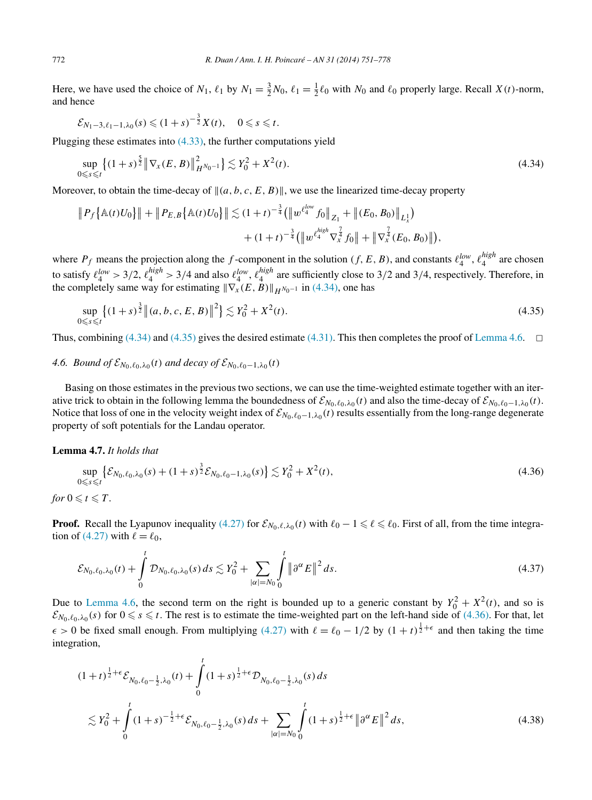<span id="page-21-0"></span>Here, we have used the choice of  $N_1$ ,  $\ell_1$  by  $N_1 = \frac{3}{2}N_0$ ,  $\ell_1 = \frac{1}{2}\ell_0$  with  $N_0$  and  $\ell_0$  properly large. Recall  $X(t)$ -norm, and hence

$$
\mathcal{E}_{N_1-3,\ell_1-1,\lambda_0}(s) \le (1+s)^{-\frac{3}{2}}X(t), \quad 0 \le s \le t.
$$

Plugging these estimates into [\(4.33\),](#page-20-0) the further computations yield

$$
\sup_{0 \le s \le t} \left\{ (1+s)^{\frac{5}{2}} \left\| \nabla_x (E, B) \right\|_{H^{N_0-1}}^2 \right\} \lesssim Y_0^2 + X^2(t). \tag{4.34}
$$

Moreover, to obtain the time-decay of  $\|(a, b, c, E, B)\|$ , we use the linearized time-decay property

$$
\|P_f\{\mathbb{A}(t)U_0\}\| + \|P_{E,B}\{\mathbb{A}(t)U_0\}\| \lesssim (1+t)^{-\frac{3}{4}}(\|w^{\ell_4^{low}}f_0\|_{Z_1} + \|(E_0,B_0)\|_{L_x^1}) + (1+t)^{-\frac{3}{4}}(\|w^{\ell_4^{high}}\nabla_x^{\frac{7}{4}}f_0\| + \|\nabla_x^{\frac{7}{4}}(E_0,B_0)\|),
$$

where  $P_f$  means the projection along the *f*-component in the solution  $(f, E, B)$ , and constants  $\ell_4^{low}$ ,  $\ell_4^{high}$  are chosen to satisfy  $\ell_4^{low} > 3/2$ ,  $\ell_4^{high} > 3/4$  and also  $\ell_4^{low}$ ,  $\ell_4^{high}$  are sufficiently close to 3/2 and 3/4, respectively. Therefore, in the completely same way for estimating  $\|\nabla_x(E,B)\|_{H^{N_0-1}}$  in (4.34), one has

$$
\sup_{0 \le s \le t} \left\{ (1+s)^{\frac{3}{2}} \left\| (a, b, c, E, B) \right\|^2 \right\} \lesssim Y_0^2 + X^2(t). \tag{4.35}
$$

Thus, combining (4.34) and (4.35) gives the desired estimate [\(4.31\).](#page-20-0) This then completes the proof of [Lemma 4.6.](#page-20-0)  $\Box$ 

# *4.6. Bound of*  $\mathcal{E}_{N_0,\ell_0,\lambda_0}(t)$  *and decay of*  $\mathcal{E}_{N_0,\ell_0-1,\lambda_0}(t)$

Basing on those estimates in the previous two sections, we can use the time-weighted estimate together with an iterative trick to obtain in the following lemma the boundedness of  $\mathcal{E}_{N_0,\ell_0,\lambda_0}(t)$  and also the time-decay of  $\mathcal{E}_{N_0,\ell_0-1,\lambda_0}(t)$ . Notice that loss of one in the velocity weight index of  $\mathcal{E}_{N_0,\ell_0-1,\lambda_0}(t)$  results essentially from the long-range degenerate property of soft potentials for the Landau operator.

# **Lemma 4.7.** *It holds that*

$$
\sup_{0 \le s \le t} \left\{ \mathcal{E}_{N_0, \ell_0, \lambda_0}(s) + (1+s)^{\frac{3}{2}} \mathcal{E}_{N_0, \ell_0-1, \lambda_0}(s) \right\} \lesssim Y_0^2 + X^2(t),\tag{4.36}
$$

*for*  $0 \le t \le T$ .

**Proof.** Recall the Lyapunov inequality [\(4.27\)](#page-19-0) for  $\mathcal{E}_{N_0,\ell,\lambda_0}(t)$  with  $\ell_0 - 1 \leq \ell \leq \ell_0$ . First of all, from the time integra-tion of [\(4.27\)](#page-19-0) with  $\ell = \ell_0$ ,

$$
\mathcal{E}_{N_0,\ell_0,\lambda_0}(t) + \int_0^t \mathcal{D}_{N_0,\ell_0,\lambda_0}(s) \, ds \lesssim Y_0^2 + \sum_{|\alpha|=N_0} \int_0^t \|\partial^\alpha E\|^2 \, ds. \tag{4.37}
$$

Due to [Lemma 4.6,](#page-20-0) the second term on the right is bounded up to a generic constant by  $Y_0^2 + X^2(t)$ , and so is  $\mathcal{E}_{N_0,\ell_0,\lambda_0}(s)$  for  $0 \le s \le t$ . The rest is to estimate the time-weighted part on the left-hand side of (4.36). For that, let  $\epsilon > 0$  be fixed small enough. From multiplying [\(4.27\)](#page-19-0) with  $\ell = \ell_0 - 1/2$  by  $(1 + t)^{\frac{1}{2} + \epsilon}$  and then taking the time integration,

$$
(1+t)^{\frac{1}{2}+\epsilon} \mathcal{E}_{N_0,\ell_0-\frac{1}{2},\lambda_0}(t) + \int_0^t (1+s)^{\frac{1}{2}+\epsilon} \mathcal{D}_{N_0,\ell_0-\frac{1}{2},\lambda_0}(s) ds
$$
  
\$\lesssim Y\_0^2 + \int\_0^t (1+s)^{-\frac{1}{2}+\epsilon} \mathcal{E}\_{N\_0,\ell\_0-\frac{1}{2},\lambda\_0}(s) ds + \sum\_{|\alpha|=N\_0} \int\_0^t (1+s)^{\frac{1}{2}+\epsilon} ||\partial^{\alpha} E||^2 ds\$, \tag{4.38}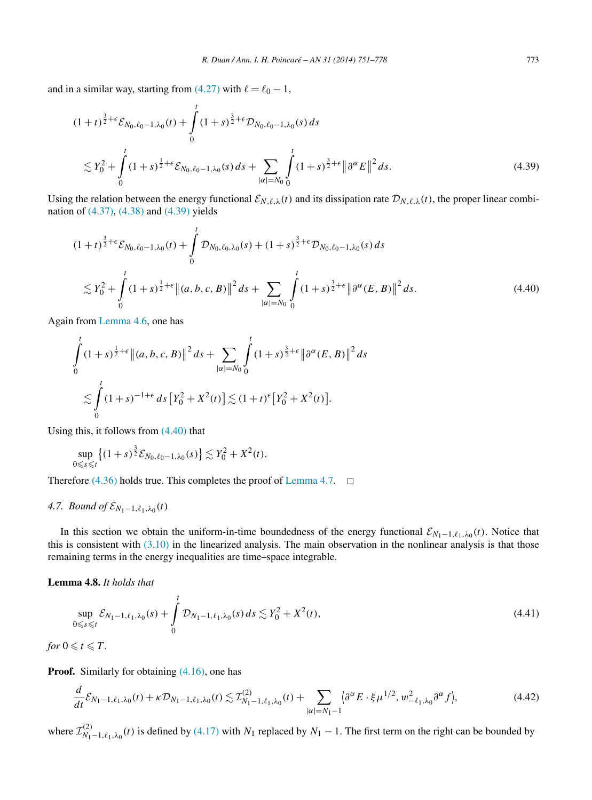<span id="page-22-0"></span>and in a similar way, starting from  $(4.27)$  with  $\ell = \ell_0 - 1$ ,

$$
(1+t)^{\frac{3}{2}+\epsilon} \mathcal{E}_{N_0,\ell_0-1,\lambda_0}(t) + \int_0^t (1+s)^{\frac{3}{2}+\epsilon} \mathcal{D}_{N_0,\ell_0-1,\lambda_0}(s) ds
$$
  
\$\lesssim Y\_0^2 + \int\_0^t (1+s)^{\frac{1}{2}+\epsilon} \mathcal{E}\_{N\_0,\ell\_0-1,\lambda\_0}(s) ds + \sum\_{|\alpha|=N\_0} \int\_0^t (1+s)^{\frac{3}{2}+\epsilon} ||\partial^{\alpha} E||^2 ds. \tag{4.39}

Using the relation between the energy functional  $\mathcal{E}_{N,\ell,\lambda}(t)$  and its dissipation rate  $\mathcal{D}_{N,\ell,\lambda}(t)$ , the proper linear combination of [\(4.37\),](#page-21-0) [\(4.38\)](#page-21-0) and (4.39) yields

$$
(1+t)^{\frac{3}{2}+\epsilon} \mathcal{E}_{N_0,\ell_0-1,\lambda_0}(t) + \int_0^t \mathcal{D}_{N_0,\ell_0,\lambda_0}(s) + (1+s)^{\frac{3}{2}+\epsilon} \mathcal{D}_{N_0,\ell_0-1,\lambda_0}(s) ds
$$
  

$$
\lesssim Y_0^2 + \int_0^t (1+s)^{\frac{1}{2}+\epsilon} \|(a,b,c,B)\|^2 ds + \sum_{|\alpha|=N_0} \int_0^t (1+s)^{\frac{3}{2}+\epsilon} \|\partial^{\alpha}(E,B)\|^2 ds.
$$
 (4.40)

Again from [Lemma 4.6,](#page-20-0) one has

$$
\int_{0}^{t} (1+s)^{\frac{1}{2}+\epsilon} \|(a,b,c,B)\|^{2} ds + \sum_{|\alpha|=N_{0}} \int_{0}^{t} (1+s)^{\frac{3}{2}+\epsilon} \|\partial^{\alpha}(E,B)\|^{2} ds
$$
  

$$
\lesssim \int_{0}^{t} (1+s)^{-1+\epsilon} ds \left[Y_{0}^{2} + X^{2}(t)\right] \lesssim (1+t)^{\epsilon} \left[Y_{0}^{2} + X^{2}(t)\right].
$$

Using this, it follows from (4.40) that

$$
\sup_{0\leq s\leq t}\{(1+s)^{\frac{3}{2}}\mathcal{E}_{N_0,\ell_0-1,\lambda_0}(s)\}\lesssim Y_0^2+X^2(t).
$$

Therefore [\(4.36\)](#page-21-0) holds true. This completes the proof of [Lemma 4.7.](#page-21-0)  $\Box$ 

# *4.7. Bound of*  $\mathcal{E}_{N_1-1,\ell_1,\lambda_0}(t)$

In this section we obtain the uniform-in-time boundedness of the energy functional  $\mathcal{E}_{N_1-1,\ell_1,\lambda_0}(t)$ . Notice that this is consistent with  $(3.10)$  in the linearized analysis. The main observation in the nonlinear analysis is that those remaining terms in the energy inequalities are time–space integrable.

**Lemma 4.8.** *It holds that*

$$
\sup_{0 \leq s \leq t} \mathcal{E}_{N_1 - 1, \ell_1, \lambda_0}(s) + \int_0^t \mathcal{D}_{N_1 - 1, \ell_1, \lambda_0}(s) \, ds \lesssim Y_0^2 + X^2(t),\tag{4.41}
$$

*for*  $0 \leq t \leq T$ *.* 

**Proof.** Similarly for obtaining  $(4.16)$ , one has

$$
\frac{d}{dt}\mathcal{E}_{N_1-1,\ell_1,\lambda_0}(t) + \kappa \mathcal{D}_{N_1-1,\ell_1,\lambda_0}(t) \lesssim \mathcal{I}_{N_1-1,\ell_1,\lambda_0}^{(2)}(t) + \sum_{|\alpha|=N_1-1} \left\langle \partial^{\alpha} E \cdot \xi \mu^{1/2}, w_{-\ell_1,\lambda_0}^2 \partial^{\alpha} f \right\rangle, \tag{4.42}
$$

where  $\mathcal{I}_{N_1-1,\ell_1,\lambda_0}^{(2)}(t)$  is defined by [\(4.17\)](#page-15-0) with  $N_1$  replaced by  $N_1-1$ . The first term on the right can be bounded by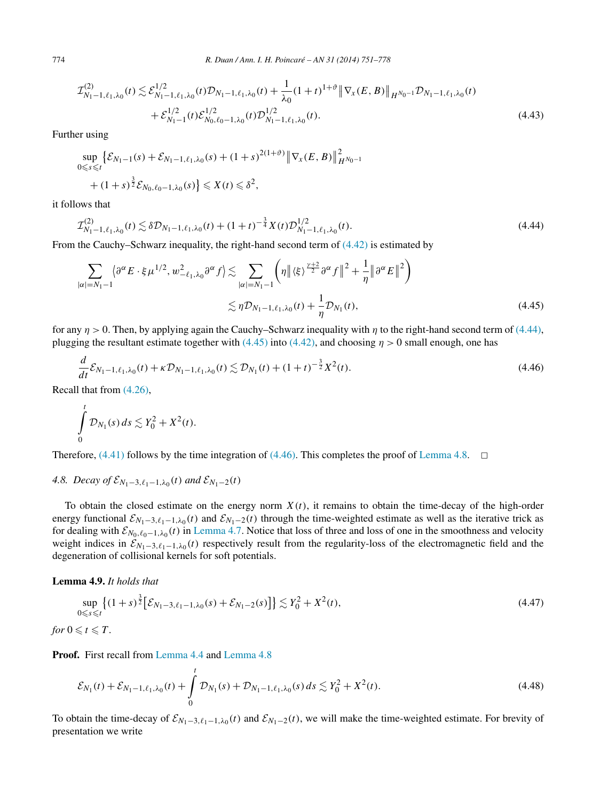$$
\mathcal{I}_{N_1-1,\ell_1,\lambda_0}^{(2)}(t) \lesssim \mathcal{E}_{N_1-1,\ell_1,\lambda_0}^{1/2}(t)\mathcal{D}_{N_1-1,\ell_1,\lambda_0}(t) + \frac{1}{\lambda_0}(1+t)^{1+\vartheta} \|\nabla_x(E,B)\|_{H^{N_0-1}} \mathcal{D}_{N_1-1,\ell_1,\lambda_0}(t) \n+ \mathcal{E}_{N_1-1}^{1/2}(t)\mathcal{E}_{N_0,\ell_0-1,\lambda_0}^{1/2}(t)\mathcal{D}_{N_1-1,\ell_1,\lambda_0}^{1/2}(t).
$$
\n(4.43)

Further using

$$
\sup_{0 \le s \le t} \left\{ \mathcal{E}_{N_1 - 1}(s) + \mathcal{E}_{N_1 - 1, \ell_1, \lambda_0}(s) + (1 + s)^{2(1 + \vartheta)} \right\} \left\| \nabla_x(E, B) \right\|_{H^{N_0 - 1}}^2
$$
  
+ 
$$
(1 + s)^{\frac{3}{2}} \mathcal{E}_{N_0, \ell_0 - 1, \lambda_0}(s) \right\} \le X(t) \le \delta^2,
$$

it follows that

$$
\mathcal{I}_{N_1-1,\ell_1,\lambda_0}^{(2)}(t) \lesssim \delta \mathcal{D}_{N_1-1,\ell_1,\lambda_0}(t) + (1+t)^{-\frac{3}{4}} X(t) \mathcal{D}_{N_1-1,\ell_1,\lambda_0}^{1/2}(t). \tag{4.44}
$$

From the Cauchy–Schwarz inequality, the right-hand second term of  $(4.42)$  is estimated by

$$
\sum_{|\alpha|=N_1-1} \left\langle \partial^{\alpha} E \cdot \xi \mu^{1/2}, w_{-\ell_1,\lambda_0}^2 \partial^{\alpha} f \right\rangle \lesssim \sum_{|\alpha|=N_1-1} \left( \eta \left\| \langle \xi \rangle^{\frac{\gamma+2}{2}} \partial^{\alpha} f \right\|^2 + \frac{1}{\eta} \left\| \partial^{\alpha} E \right\|^2 \right)
$$
  

$$
\lesssim \eta \mathcal{D}_{N_1-1,\ell_1,\lambda_0}(t) + \frac{1}{\eta} \mathcal{D}_{N_1}(t), \tag{4.45}
$$

for any  $\eta$  > 0. Then, by applying again the Cauchy–Schwarz inequality with  $\eta$  to the right-hand second term of (4.44), plugging the resultant estimate together with (4.45) into [\(4.42\),](#page-22-0) and choosing  $\eta > 0$  small enough, one has

$$
\frac{d}{dt}\mathcal{E}_{N_1-1,\ell_1,\lambda_0}(t) + \kappa \mathcal{D}_{N_1-1,\ell_1,\lambda_0}(t) \lesssim \mathcal{D}_{N_1}(t) + (1+t)^{-\frac{3}{2}}X^2(t). \tag{4.46}
$$

Recall that from [\(4.26\),](#page-18-0)

$$
\int\limits_0^t \mathcal{D}_{N_1}(s)\,ds\lesssim Y_0^2+X^2(t).
$$

Therefore, [\(4.41\)](#page-22-0) follows by the time integration of (4.46). This completes the proof of [Lemma 4.8.](#page-22-0)  $\Box$ 

# *4.8. Decay of*  $\mathcal{E}_{N_1-3,\ell_1-1,\lambda_0}(t)$  *and*  $\mathcal{E}_{N_1-2}(t)$

To obtain the closed estimate on the energy norm  $X(t)$ , it remains to obtain the time-decay of the high-order energy functional  $\mathcal{E}_{N_1-3,\ell_1-1,\lambda_0}(t)$  and  $\mathcal{E}_{N_1-2}(t)$  through the time-weighted estimate as well as the iterative trick as for dealing with  $\mathcal{E}_{N_0,\ell_0-1,\lambda_0}(t)$  in [Lemma 4.7.](#page-21-0) Notice that loss of three and loss of one in the smoothness and velocity weight indices in  $\mathcal{E}_{N_1-3,\ell_1-1,\lambda_0}(t)$  respectively result from the regularity-loss of the electromagnetic field and the degeneration of collisional kernels for soft potentials.

**Lemma 4.9.** *It holds that*

$$
\sup_{0 \le s \le t} \left\{ (1+s)^{\frac{3}{2}} \left[ \mathcal{E}_{N_1-3,\ell_1-1,\lambda_0}(s) + \mathcal{E}_{N_1-2}(s) \right] \right\} \lesssim Y_0^2 + X^2(t),\tag{4.47}
$$

for 
$$
0 \leq t \leq T
$$
.

**Proof.** First recall from [Lemma 4.4](#page-17-0) and [Lemma 4.8](#page-22-0)

$$
\mathcal{E}_{N_1}(t) + \mathcal{E}_{N_1-1,\ell_1,\lambda_0}(t) + \int_0^t \mathcal{D}_{N_1}(s) + \mathcal{D}_{N_1-1,\ell_1,\lambda_0}(s) ds \lesssim Y_0^2 + X^2(t). \tag{4.48}
$$

To obtain the time-decay of  $\mathcal{E}_{N_1-3,\ell_1-1,\lambda_0}(t)$  and  $\mathcal{E}_{N_1-2}(t)$ , we will make the time-weighted estimate. For brevity of presentation we write

<span id="page-23-0"></span>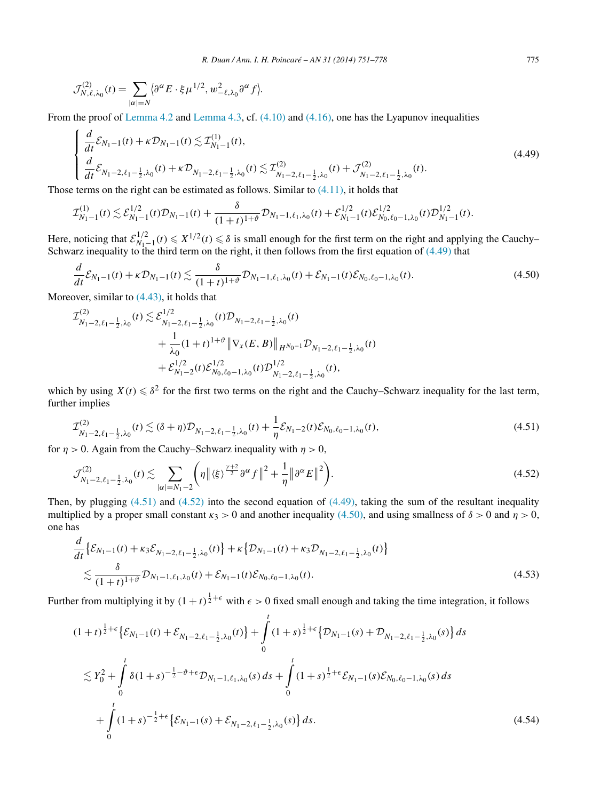<span id="page-24-0"></span>
$$
\mathcal{J}_{N,\ell,\lambda_0}^{(2)}(t) = \sum_{|\alpha|=N} \langle \partial^{\alpha} E \cdot \xi \mu^{1/2}, w_{-\ell,\lambda_0}^2 \partial^{\alpha} f \rangle.
$$

From the proof of [Lemma 4.2](#page-12-0) and [Lemma 4.3,](#page-15-0) cf.  $(4.10)$  and  $(4.16)$ , one has the Lyapunov inequalities

$$
\begin{cases} \frac{d}{dt} \mathcal{E}_{N_1-1}(t) + \kappa \mathcal{D}_{N_1-1}(t) \lesssim \mathcal{I}_{N_1-1}^{(1)}(t), \\ \frac{d}{dt} \mathcal{E}_{N_1-2,\ell_1-\frac{1}{2},\lambda_0}(t) + \kappa \mathcal{D}_{N_1-2,\ell_1-\frac{1}{2},\lambda_0}(t) \lesssim \mathcal{I}_{N_1-2,\ell_1-\frac{1}{2},\lambda_0}^{(2)}(t) + \mathcal{J}_{N_1-2,\ell_1-\frac{1}{2},\lambda_0}^{(2)}(t). \end{cases} \tag{4.49}
$$

Those terms on the right can be estimated as follows. Similar to [\(4.11\),](#page-13-0) it holds that

$$
\mathcal{I}_{N_1-1}^{(1)}(t) \lesssim \mathcal{E}_{N_1-1}^{1/2}(t)\mathcal{D}_{N_1-1}(t) + \frac{\delta}{(1+t)^{1+\vartheta}} \mathcal{D}_{N_1-1,\ell_1,\lambda_0}(t) + \mathcal{E}_{N_1-1}^{1/2}(t)\mathcal{E}_{N_0,\ell_0-1,\lambda_0}^{1/2}(t)\mathcal{D}_{N_1-1}^{1/2}(t).
$$

Here, noticing that  $\mathcal{E}_{N_1-1}^{1/2}(t) \leq \mathcal{E}_{N_1}^{1/2}(t) \leq \delta$  is small enough for the first term on the right and applying the Cauchy– Schwarz inequality to the third term on the right, it then follows from the first equation of (4.49) that

$$
\frac{d}{dt}\mathcal{E}_{N_1-1}(t) + \kappa \mathcal{D}_{N_1-1}(t) \lesssim \frac{\delta}{(1+t)^{1+\vartheta}} \mathcal{D}_{N_1-1,\ell_1,\lambda_0}(t) + \mathcal{E}_{N_1-1}(t)\mathcal{E}_{N_0,\ell_0-1,\lambda_0}(t). \tag{4.50}
$$

Moreover, similar to [\(4.43\),](#page-23-0) it holds that

$$
\mathcal{I}_{N_1-2,\ell_1-\frac{1}{2},\lambda_0}^{(2)}(t) \lesssim \mathcal{E}_{N_1-2,\ell_1-\frac{1}{2},\lambda_0}^{1/2}(t) \mathcal{D}_{N_1-2,\ell_1-\frac{1}{2},\lambda_0}(t) \n+ \frac{1}{\lambda_0} (1+t)^{1+\vartheta} \|\nabla_x(E,B)\|_{H^{N_0-1}} \mathcal{D}_{N_1-2,\ell_1-\frac{1}{2},\lambda_0}(t) \n+ \mathcal{E}_{N_1-2}^{1/2}(t) \mathcal{E}_{N_0,\ell_0-1,\lambda_0}^{1/2}(t) \mathcal{D}_{N_1-2,\ell_1-\frac{1}{2},\lambda_0}^{1/2}(t),
$$

which by using  $X(t) \leq \delta^2$  for the first two terms on the right and the Cauchy–Schwarz inequality for the last term, further implies

$$
\mathcal{I}_{N_1-2,\ell_1-\frac{1}{2},\lambda_0}^{(2)}(t) \lesssim (\delta + \eta) \mathcal{D}_{N_1-2,\ell_1-\frac{1}{2},\lambda_0}(t) + \frac{1}{\eta} \mathcal{E}_{N_1-2}(t) \mathcal{E}_{N_0,\ell_0-1,\lambda_0}(t),\tag{4.51}
$$

for  $\eta > 0$ . Again from the Cauchy–Schwarz inequality with  $\eta > 0$ ,

$$
\mathcal{J}_{N_1-2,\ell_1-\frac{1}{2},\lambda_0}^{(2)}(t) \lesssim \sum_{|\alpha|=N_1-2} \left( \eta \, \big\| \langle \xi \rangle^{\frac{\gamma+2}{2}} \partial^{\alpha} f \, \big\|^2 + \frac{1}{\eta} \, \big\| \partial^{\alpha} E \, \big\|^2 \right). \tag{4.52}
$$

Then, by plugging  $(4.51)$  and  $(4.52)$  into the second equation of  $(4.49)$ , taking the sum of the resultant inequality multiplied by a proper small constant  $\kappa_3 > 0$  and another inequality (4.50), and using smallness of  $\delta > 0$  and  $\eta > 0$ , one has

$$
\frac{d}{dt} \left\{ \mathcal{E}_{N_1-1}(t) + \kappa_3 \mathcal{E}_{N_1-2,\ell_1-\frac{1}{2},\lambda_0}(t) \right\} + \kappa \left\{ \mathcal{D}_{N_1-1}(t) + \kappa_3 \mathcal{D}_{N_1-2,\ell_1-\frac{1}{2},\lambda_0}(t) \right\} \n\lesssim \frac{\delta}{(1+t)^{1+\vartheta}} \mathcal{D}_{N_1-1,\ell_1,\lambda_0}(t) + \mathcal{E}_{N_1-1}(t) \mathcal{E}_{N_0,\ell_0-1,\lambda_0}(t).
$$
\n(4.53)

Further from multiplying it by  $(1+t)^{\frac{1}{2}+\epsilon}$  with  $\epsilon > 0$  fixed small enough and taking the time integration, it follows

$$
(1+t)^{\frac{1}{2}+\epsilon} \left\{ \mathcal{E}_{N_1-1}(t) + \mathcal{E}_{N_1-2,\ell_1-\frac{1}{2},\lambda_0}(t) \right\} + \int_0^t (1+s)^{\frac{1}{2}+\epsilon} \left\{ \mathcal{D}_{N_1-1}(s) + \mathcal{D}_{N_1-2,\ell_1-\frac{1}{2},\lambda_0}(s) \right\} ds
$$
  
\n
$$
\lesssim Y_0^2 + \int_0^t \delta (1+s)^{-\frac{1}{2}-\vartheta+\epsilon} \mathcal{D}_{N_1-1,\ell_1,\lambda_0}(s) ds + \int_0^t (1+s)^{\frac{1}{2}+\epsilon} \mathcal{E}_{N_1-1}(s) \mathcal{E}_{N_0,\ell_0-1,\lambda_0}(s) ds
$$
  
\n
$$
+ \int_0^t (1+s)^{-\frac{1}{2}+\epsilon} \left\{ \mathcal{E}_{N_1-1}(s) + \mathcal{E}_{N_1-2,\ell_1-\frac{1}{2},\lambda_0}(s) \right\} ds.
$$
\n(4.54)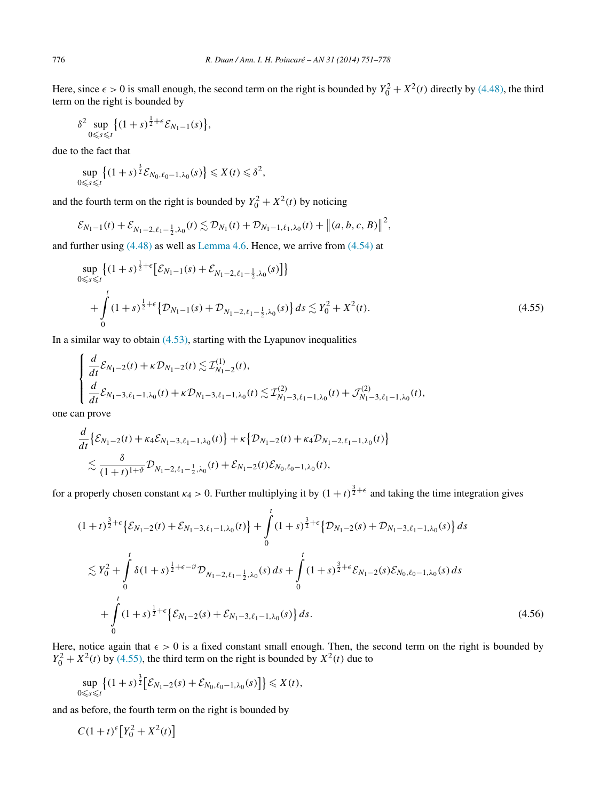<span id="page-25-0"></span>Here, since  $\epsilon > 0$  is small enough, the second term on the right is bounded by  $Y_0^2 + X^2(t)$  directly by [\(4.48\),](#page-23-0) the third term on the right is bounded by

$$
\delta^2 \sup_{0 \leq s \leq t} \left\{ (1+s)^{\frac{1}{2}+\epsilon} \mathcal{E}_{N_1-1}(s) \right\},\,
$$

due to the fact that

$$
\sup_{0\leq s\leq t}\left\{(1+s)^{\frac{3}{2}}\mathcal{E}_{N_0,\ell_0-1,\lambda_0}(s)\right\}\leqslant X(t)\leqslant \delta^2,
$$

and the fourth term on the right is bounded by  $Y_0^2 + X^2(t)$  by noticing

$$
\mathcal{E}_{N_1-1}(t) + \mathcal{E}_{N_1-2,\ell_1-\frac{1}{2},\lambda_0}(t) \lesssim \mathcal{D}_{N_1}(t) + \mathcal{D}_{N_1-1,\ell_1,\lambda_0}(t) + \|(a,b,c,B)\|^2,
$$

and further using [\(4.48\)](#page-23-0) as well as [Lemma 4.6.](#page-20-0) Hence, we arrive from [\(4.54\)](#page-24-0) at

$$
\sup_{0 \le s \le t} \left\{ (1+s)^{\frac{1}{2}+\epsilon} \left[ \mathcal{E}_{N_1-1}(s) + \mathcal{E}_{N_1-2,\ell_1-\frac{1}{2},\lambda_0}(s) \right] \right\} + \int_0^t (1+s)^{\frac{1}{2}+\epsilon} \left\{ \mathcal{D}_{N_1-1}(s) + \mathcal{D}_{N_1-2,\ell_1-\frac{1}{2},\lambda_0}(s) \right\} ds \lesssim Y_0^2 + X^2(t).
$$
\n(4.55)

In a similar way to obtain  $(4.53)$ , starting with the Lyapunov inequalities

$$
\begin{cases} \frac{d}{dt} \mathcal{E}_{N_1-2}(t) + \kappa \mathcal{D}_{N_1-2}(t) \lesssim \mathcal{I}_{N_1-2}^{(1)}(t), \\ \frac{d}{dt} \mathcal{E}_{N_1-3,\ell_1-1,\lambda_0}(t) + \kappa \mathcal{D}_{N_1-3,\ell_1-1,\lambda_0}(t) \lesssim \mathcal{I}_{N_1-3,\ell_1-1,\lambda_0}^{(2)}(t) + \mathcal{J}_{N_1-3,\ell_1-1,\lambda_0}^{(2)}(t), \end{cases}
$$

one can prove

$$
\frac{d}{dt} \left\{ \mathcal{E}_{N_1-2}(t) + \kappa_4 \mathcal{E}_{N_1-3,\ell_1-1,\lambda_0}(t) \right\} + \kappa \left\{ \mathcal{D}_{N_1-2}(t) + \kappa_4 \mathcal{D}_{N_1-2,\ell_1-1,\lambda_0}(t) \right\} \n\lesssim \frac{\delta}{(1+t)^{1+\vartheta}} \mathcal{D}_{N_1-2,\ell_1-\frac{1}{2},\lambda_0}(t) + \mathcal{E}_{N_1-2}(t) \mathcal{E}_{N_0,\ell_0-1,\lambda_0}(t),
$$

for a properly chosen constant  $\kappa_4 > 0$ . Further multiplying it by  $(1+t)^{\frac{3}{2}+\epsilon}$  and taking the time integration gives

$$
(1+t)^{\frac{3}{2}+\epsilon} \left\{ \mathcal{E}_{N_1-2}(t) + \mathcal{E}_{N_1-3,\ell_1-1,\lambda_0}(t) \right\} + \int_0^t (1+s)^{\frac{3}{2}+\epsilon} \left\{ \mathcal{D}_{N_1-2}(s) + \mathcal{D}_{N_1-3,\ell_1-1,\lambda_0}(s) \right\} ds
$$
  

$$
\lesssim Y_0^2 + \int_0^t \delta (1+s)^{\frac{1}{2}+\epsilon-\vartheta} \mathcal{D}_{N_1-2,\ell_1-\frac{1}{2},\lambda_0}(s) ds + \int_0^t (1+s)^{\frac{3}{2}+\epsilon} \mathcal{E}_{N_1-2}(s) \mathcal{E}_{N_0,\ell_0-1,\lambda_0}(s) ds
$$
  

$$
+ \int_0^t (1+s)^{\frac{1}{2}+\epsilon} \left\{ \mathcal{E}_{N_1-2}(s) + \mathcal{E}_{N_1-3,\ell_1-1,\lambda_0}(s) \right\} ds.
$$
 (4.56)

Here, notice again that  $\epsilon > 0$  is a fixed constant small enough. Then, the second term on the right is bounded by  $Y_0^2 + X^2(t)$  by (4.55), the third term on the right is bounded by  $X^2(t)$  due to

$$
\sup_{0\leq s\leq t}\big\{(1+s)^{\frac{3}{2}}\big[\mathcal{E}_{N_1-2}(s)+\mathcal{E}_{N_0,\ell_0-1,\lambda_0}(s)\big]\big\}\leqslant X(t),
$$

and as before, the fourth term on the right is bounded by

 $C(1+t)^{\epsilon}[Y_0^2+X^2(t)]$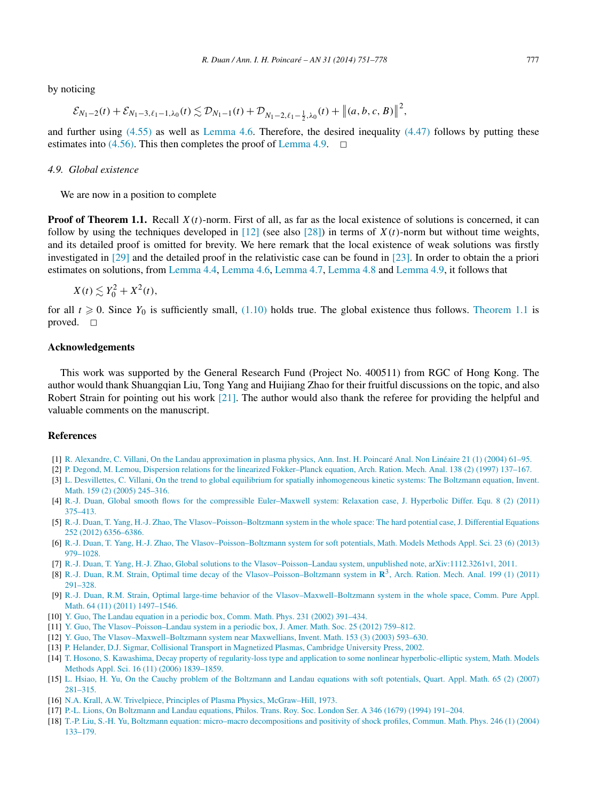<span id="page-26-0"></span>by noticing

$$
\mathcal{E}_{N_1-2}(t) + \mathcal{E}_{N_1-3,\ell_1-1,\lambda_0}(t) \lesssim \mathcal{D}_{N_1-1}(t) + \mathcal{D}_{N_1-2,\ell_1-\frac{1}{2},\lambda_0}(t) + \left\|(a,b,c,B)\right\|^2,
$$

and further using  $(4.55)$  as well as [Lemma 4.6.](#page-20-0) Therefore, the desired inequality  $(4.47)$  follows by putting these estimates into [\(4.56\).](#page-25-0) This then completes the proof of [Lemma 4.9.](#page-23-0)  $\Box$ 

#### *4.9. Global existence*

We are now in a position to complete

**Proof of Theorem 1.1.** Recall  $X(t)$ -norm. First of all, as far as the local existence of solutions is concerned, it can follow by using the techniques developed in  $[12]$  (see also  $[28]$ ) in terms of  $X(t)$ -norm but without time weights, and its detailed proof is omitted for brevity. We here remark that the local existence of weak solutions was firstly investigated in [\[29\]](#page-27-0) and the detailed proof in the relativistic case can be found in [\[23\].](#page-27-0) In order to obtain the a priori estimates on solutions, from [Lemma 4.4,](#page-17-0) [Lemma 4.6,](#page-20-0) [Lemma 4.7,](#page-21-0) [Lemma 4.8](#page-22-0) and [Lemma 4.9,](#page-23-0) it follows that

$$
X(t) \lesssim Y_0^2 + X^2(t),
$$

for all  $t \geq 0$ . Since  $Y_0$  is sufficiently small, [\(1.10\)](#page-4-0) holds true. The global existence thus follows. [Theorem 1.1](#page-3-0) is proved.  $\square$ 

#### **Acknowledgements**

This work was supported by the General Research Fund (Project No. 400511) from RGC of Hong Kong. The author would thank Shuangqian Liu, Tong Yang and Huijiang Zhao for their fruitful discussions on the topic, and also Robert Strain for pointing out his work [\[21\].](#page-27-0) The author would also thank the referee for providing the helpful and valuable comments on the manuscript.

### **References**

- [1] [R. Alexandre, C. Villani, On the Landau approximation in plasma physics, Ann. Inst. H. Poincaré Anal. Non Linéaire 21 \(1\) \(2004\) 61–95.](http://refhub.elsevier.com/S0294-1449(13)00087-5/bib4156s1)
- [2] [P. Degond, M. Lemou, Dispersion relations for the linearized Fokker–Planck equation, Arch. Ration. Mech. Anal. 138 \(2\) \(1997\) 137–167.](http://refhub.elsevier.com/S0294-1449(13)00087-5/bib444Cs1)
- [3] L. [Desvillettes, C. Villani, On the trend to global equilibrium for spatially inhomogeneous kinetic systems: The Boltzmann equation, Invent.](http://refhub.elsevier.com/S0294-1449(13)00087-5/bib4456s1) [Math. 159 \(2\) \(2005\) 245–316.](http://refhub.elsevier.com/S0294-1449(13)00087-5/bib4456s1)
- [4] R.-J. [Duan, Global smooth flows for the compressible Euler–Maxwell system: Relaxation case, J. Hyperbolic Differ. Equ. 8 \(2\) \(2011\)](http://refhub.elsevier.com/S0294-1449(13)00087-5/bib442D656Ds1) [375–413.](http://refhub.elsevier.com/S0294-1449(13)00087-5/bib442D656Ds1)
- [5] R.-J. [Duan, T. Yang, H.-J. Zhao, The Vlasov–Poisson–Boltzmann system in the whole space: The hard potential case, J. Differential Equations](http://refhub.elsevier.com/S0294-1449(13)00087-5/bib44595As1) [252 \(2012\) 6356–6386.](http://refhub.elsevier.com/S0294-1449(13)00087-5/bib44595As1)
- [6] R.-J. [Duan, T. Yang, H.-J. Zhao, The Vlasov–Poisson–Boltzmann system for soft potentials, Math. Models Methods Appl. Sci. 23 \(6\) \(2013\)](http://refhub.elsevier.com/S0294-1449(13)00087-5/bib44595A2D73s1) [979–1028.](http://refhub.elsevier.com/S0294-1449(13)00087-5/bib44595A2D73s1)
- [7] R.-J. [Duan, T. Yang, H.-J. Zhao, Global solutions to the Vlasov–Poisson–Landau system, unpublished note, arXiv:1112.3261v1, 2011.](http://refhub.elsevier.com/S0294-1449(13)00087-5/bib44595A2D56504Cs1)
- [8] R.-J. [Duan, R.M. Strain, Optimal time decay of the Vlasov–Poisson–Boltzmann system in](http://refhub.elsevier.com/S0294-1449(13)00087-5/bib4475616E5331s1) **R**3, Arch. Ration. Mech. Anal. 199 (1) (2011) [291–328.](http://refhub.elsevier.com/S0294-1449(13)00087-5/bib4475616E5331s1)
- [9] R.-J. [Duan, R.M. Strain, Optimal large-time behavior of the Vlasov–Maxwell–Boltzmann system in the whole space, Comm. Pure Appl.](http://refhub.elsevier.com/S0294-1449(13)00087-5/bib44532D564D42s1) [Math. 64 \(11\) \(2011\) 1497–1546.](http://refhub.elsevier.com/S0294-1449(13)00087-5/bib44532D564D42s1)
- [10] [Y. Guo, The Landau equation in a periodic box, Comm. Math. Phys. 231 \(2002\) 391–434.](http://refhub.elsevier.com/S0294-1449(13)00087-5/bib47756F2D4Cs1)
- [11] [Y. Guo, The Vlasov–Poisson–Landau system in a periodic box, J. Amer. Math. Soc. 25 \(2012\) 759–812.](http://refhub.elsevier.com/S0294-1449(13)00087-5/bib47756F2D56504Cs1)
- [12] [Y. Guo, The Vlasov–Maxwell–Boltzmann system near Maxwellians, Invent. Math. 153 \(3\) \(2003\) 593–630.](http://refhub.elsevier.com/S0294-1449(13)00087-5/bib47756F33s1)
- [13] [P. Helander, D.J. Sigmar, Collisional Transport in Magnetized Plasmas, Cambridge University Press, 2002.](http://refhub.elsevier.com/S0294-1449(13)00087-5/bib4853s1)
- [14] [T. Hosono, S. Kawashima, Decay property of regularity-loss type and application to some nonlinear hyperbolic-elliptic system, Math. Models](http://refhub.elsevier.com/S0294-1449(13)00087-5/bib484Bs1) [Methods Appl. Sci. 16 \(11\) \(2006\) 1839–1859.](http://refhub.elsevier.com/S0294-1449(13)00087-5/bib484Bs1)
- [15] L. [Hsiao, H. Yu, On the Cauchy problem of the Boltzmann and Landau equations with soft potentials, Quart. Appl. Math. 65 \(2\) \(2007\)](http://refhub.elsevier.com/S0294-1449(13)00087-5/bib4859s1) [281–315.](http://refhub.elsevier.com/S0294-1449(13)00087-5/bib4859s1)
- [16] N.A. [Krall, A.W. Trivelpiece, Principles of Plasma Physics, McGraw–Hill, 1973.](http://refhub.elsevier.com/S0294-1449(13)00087-5/bib4B54s1)
- [17] [P.-L. Lions, On Boltzmann and Landau equations, Philos. Trans. Roy. Soc. London Ser. A 346 \(1679\) \(1994\) 191–204.](http://refhub.elsevier.com/S0294-1449(13)00087-5/bib4C696Fs1)
- [18] [T.-P. Liu, S.-H. Yu, Boltzmann equation: micro–macro decompositions and positivity of shock profiles, Commun. Math. Phys. 246 \(1\) \(2004\)](http://refhub.elsevier.com/S0294-1449(13)00087-5/bib4C592D53s1) [133–179.](http://refhub.elsevier.com/S0294-1449(13)00087-5/bib4C592D53s1)